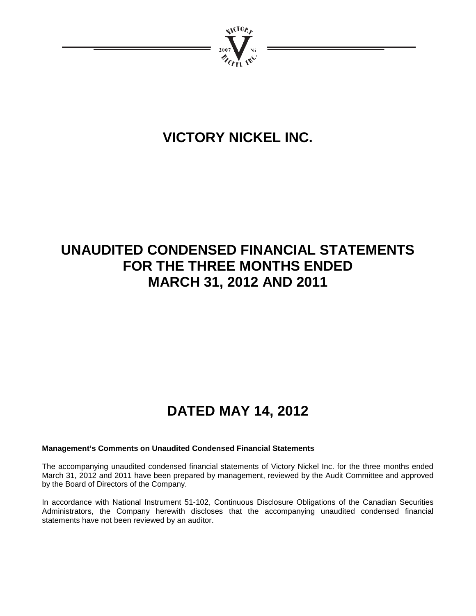

# **VICTORY NICKEL INC.**

# **UNAUDITED CONDENSED FINANCIAL STATEMENTS FOR THE THREE MONTHS ENDED MARCH 31, 2012 AND 2011**

# **DATED MAY 14, 2012**

# **Management's Comments on Unaudited Condensed Financial Statements**

The accompanying unaudited condensed financial statements of Victory Nickel Inc. for the three months ended March 31, 2012 and 2011 have been prepared by management, reviewed by the Audit Committee and approved by the Board of Directors of the Company.

In accordance with National Instrument 51-102, Continuous Disclosure Obligations of the Canadian Securities Administrators, the Company herewith discloses that the accompanying unaudited condensed financial statements have not been reviewed by an auditor.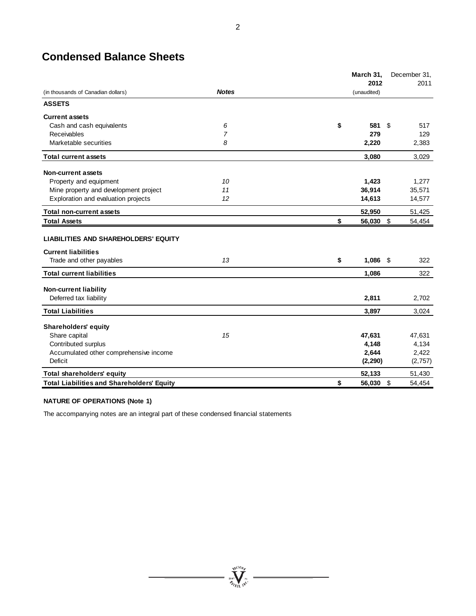# **Condensed Balance Sheets**

|                                                                           |              | March 31,        |      | December 31, |
|---------------------------------------------------------------------------|--------------|------------------|------|--------------|
|                                                                           |              | 2012             |      | 2011         |
| (in thousands of Canadian dollars)                                        | <b>Notes</b> | (unaudited)      |      |              |
| <b>ASSETS</b>                                                             |              |                  |      |              |
| <b>Current assets</b>                                                     |              |                  |      |              |
| Cash and cash equivalents                                                 | 6            | \$<br>581        | - \$ | 517          |
| Receivables                                                               | 7            | 279              |      | 129          |
| Marketable securities                                                     | 8            | 2,220            |      | 2,383        |
| <b>Total current assets</b>                                               |              | 3,080            |      | 3,029        |
| <b>Non-current assets</b>                                                 |              |                  |      |              |
| Property and equipment                                                    | 10           | 1,423            |      | 1,277        |
| Mine property and development project                                     | 11           | 36,914           |      | 35,571       |
| Exploration and evaluation projects                                       | 12           | 14,613           |      | 14,577       |
| <b>Total non-current assets</b>                                           |              | 52,950           |      | 51,425       |
| <b>Total Assets</b>                                                       |              | \$<br>56,030     | -\$  | 54,454       |
| <b>LIABILITIES AND SHAREHOLDERS' EQUITY</b><br><b>Current liabilities</b> |              |                  |      |              |
| Trade and other payables                                                  | 13           | \$<br>$1,086$ \$ |      | 322          |
| <b>Total current liabilities</b>                                          |              | 1,086            |      | 322          |
|                                                                           |              |                  |      |              |
| <b>Non-current liability</b>                                              |              |                  |      |              |
| Deferred tax liability                                                    |              | 2,811            |      | 2,702        |
| <b>Total Liabilities</b>                                                  |              | 3,897            |      | 3,024        |
| <b>Shareholders' equity</b>                                               |              |                  |      |              |
| Share capital                                                             | 15           | 47,631           |      | 47,631       |
| Contributed surplus                                                       |              | 4,148            |      | 4,134        |
| Accumulated other comprehensive income                                    |              | 2,644            |      | 2,422        |
| Deficit                                                                   |              | (2, 290)         |      | (2, 757)     |
| Total shareholders' equity                                                |              | 52,133           |      | 51,430       |
| <b>Total Liabilities and Shareholders' Equity</b>                         |              | \$<br>56,030 \$  |      | 54,454       |

 $= \sum_{n=1}^{N^{(10)}_{N}}$ 

 $\overline{\phantom{0}}$ 

#### **NATURE OF OPERATIONS (Note 1)**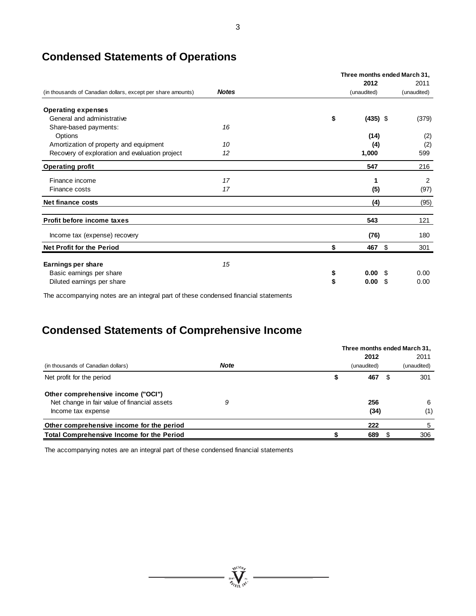# **Condensed Statements of Operations**

|                                                              |              | Three months ended March 31, |            |             |  |  |  |
|--------------------------------------------------------------|--------------|------------------------------|------------|-------------|--|--|--|
|                                                              |              | 2012                         |            | 2011        |  |  |  |
| (in thousands of Canadian dollars, except per share amounts) | <b>Notes</b> | (unaudited)                  |            | (unaudited) |  |  |  |
| <b>Operating expenses</b>                                    |              |                              |            |             |  |  |  |
| General and administrative                                   |              | \$                           | $(435)$ \$ | (379)       |  |  |  |
| Share-based payments:                                        | 16           |                              |            |             |  |  |  |
| Options                                                      |              | (14)                         |            | (2)         |  |  |  |
| Amortization of property and equipment                       | 10           |                              | (4)        | (2)         |  |  |  |
| Recovery of exploration and evaluation project               | 12           | 1,000                        |            | 599         |  |  |  |
| <b>Operating profit</b>                                      |              | 547                          |            | 216         |  |  |  |
| Finance income                                               | 17           |                              | 1          | 2           |  |  |  |
| Finance costs                                                | 17           |                              | (5)        | (97)        |  |  |  |
| Net finance costs                                            |              |                              | (4)        | (95)        |  |  |  |
| Profit before income taxes                                   |              | 543                          |            | 121         |  |  |  |
| Income tax (expense) recovery                                |              | (76)                         |            | 180         |  |  |  |
| <b>Net Profit for the Period</b>                             |              | 467                          | \$         | 301         |  |  |  |
| Earnings per share                                           | 15           |                              |            |             |  |  |  |
| Basic earnings per share                                     |              | \$<br>0.00                   | S          | 0.00        |  |  |  |
| Diluted earnings per share                                   |              | \$<br>0.00                   | \$.        | 0.00        |  |  |  |
|                                                              |              |                              |            |             |  |  |  |

The accompanying notes are an integral part of these condensed financial statements

# **Condensed Statements of Comprehensive Income**

|                                              |             | Three months ended March 31, |     |             |
|----------------------------------------------|-------------|------------------------------|-----|-------------|
|                                              |             | 2012                         |     | 2011        |
| (in thousands of Canadian dollars)           | <b>Note</b> | (unaudited)                  |     | (unaudited) |
| Net profit for the period                    |             | 467                          | -22 | 301         |
| Other comprehensive income ("OCI")           |             |                              |     |             |
| Net change in fair value of financial assets |             | 256                          |     | -6          |
| Income tax expense                           |             | (34)                         |     | (1)         |
| Other comprehensive income for the period    |             | 222                          |     | 5           |
| Total Comprehensive Income for the Period    |             | 689                          |     | 306         |

 $= \sqrt{\sum_{i=1}^{N_{\text{GLO}}}\sum_{i=1}^{N_{\text{GLO}}}}$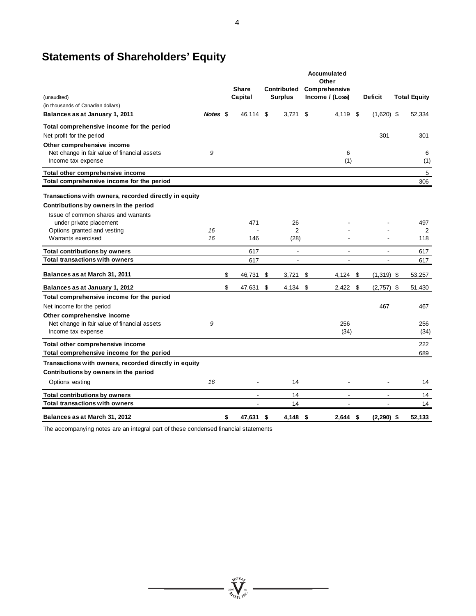# **Statements of Shareholders' Equity**

|                                                       |          |              |    |                | Accumulated<br>Other     |                    |                     |
|-------------------------------------------------------|----------|--------------|----|----------------|--------------------------|--------------------|---------------------|
|                                                       |          | <b>Share</b> |    | Contributed    | Comprehensive            |                    |                     |
| (unaudited)                                           |          | Capital      |    | <b>Surplus</b> | Income / (Loss)          | <b>Deficit</b>     | <b>Total Equity</b> |
| (in thousands of Canadian dollars)                    |          |              |    |                |                          |                    |                     |
| Balances as at January 1, 2011                        | Notes \$ | 46,114 \$    |    | 3,721          | \$<br>4,119 \$           | $(1,620)$ \$       | 52,334              |
| Total comprehensive income for the period             |          |              |    |                |                          |                    |                     |
| Net profit for the period                             |          |              |    |                |                          | 301                | 301                 |
| Other comprehensive income                            |          |              |    |                |                          |                    |                     |
| Net change in fair value of financial assets          | 9        |              |    |                | 6                        |                    | 6                   |
| Income tax expense                                    |          |              |    |                | (1)                      |                    | (1)                 |
| Total other comprehensive income                      |          |              |    |                |                          |                    | $\,$ 5 $\,$         |
| Total comprehensive income for the period             |          |              |    |                |                          |                    | 306                 |
| Transactions with owners, recorded directly in equity |          |              |    |                |                          |                    |                     |
| Contributions by owners in the period                 |          |              |    |                |                          |                    |                     |
| Issue of common shares and warrants                   |          |              |    |                |                          |                    |                     |
| under private placement                               |          | 471          |    | 26             |                          |                    | 497                 |
| Options granted and vesting                           | 16       |              |    | $\overline{2}$ |                          |                    | 2                   |
| Warrants exercised                                    | 16       | 146          |    | (28)           |                          |                    | 118                 |
| <b>Total contributions by owners</b>                  |          | 617          |    | $\mathbf{r}$   | $\blacksquare$           | $\blacksquare$     | 617                 |
| <b>Total transactions with owners</b>                 |          | 617          |    | ÷              | $\overline{\phantom{a}}$ | ÷                  | 617                 |
| Balances as at March 31, 2011                         |          | \$<br>46,731 | \$ | 3,721          | \$<br>$4,124$ \$         | $(1,319)$ \$       | 53,257              |
| Balances as at January 1, 2012                        |          | \$<br>47,631 | \$ | 4,134          | \$<br>2,422              | \$<br>$(2,757)$ \$ | 51,430              |
| Total comprehensive income for the period             |          |              |    |                |                          |                    |                     |
| Net income for the period                             |          |              |    |                |                          | 467                | 467                 |
| Other comprehensive income                            |          |              |    |                |                          |                    |                     |
| Net change in fair value of financial assets          | 9        |              |    |                | 256                      |                    | 256                 |
| Income tax expense                                    |          |              |    |                | (34)                     |                    | (34)                |
| Total other comprehensive income                      |          |              |    |                |                          |                    | 222                 |
| Total comprehensive income for the period             |          |              |    |                |                          |                    | 689                 |
| Transactions with owners, recorded directly in equity |          |              |    |                |                          |                    |                     |
| Contributions by owners in the period                 |          |              |    |                |                          |                    |                     |
| Options vesting                                       | 16       | ÷,           |    | 14             |                          |                    | 14                  |
| <b>Total contributions by owners</b>                  |          | ÷            |    | 14             | $\overline{a}$           | ÷                  | 14                  |
| <b>Total transactions with owners</b>                 |          |              |    | 14             |                          |                    | 14                  |
| Balances as at March 31, 2012                         |          | \$<br>47.631 | S. | 4.148          | \$<br>2.644              | \$<br>$(2.290)$ \$ | 52.133              |

 $\frac{\sum_{\substack{\text{real} \\ \text{all}}}}{\sum_{\substack{\text{real} \\ \text{all}}}}$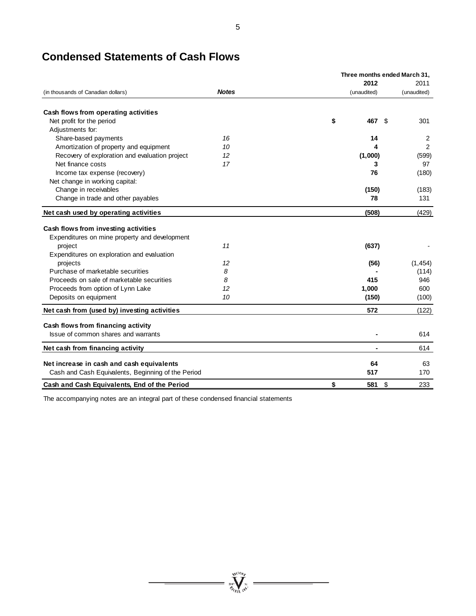|                                                                                                 |              | Three months ended March 31, |             |                |  |  |  |  |
|-------------------------------------------------------------------------------------------------|--------------|------------------------------|-------------|----------------|--|--|--|--|
|                                                                                                 |              |                              | 2012        | 2011           |  |  |  |  |
| (in thousands of Canadian dollars)                                                              | <b>Notes</b> |                              | (unaudited) | (unaudited)    |  |  |  |  |
| Cash flows from operating activities                                                            |              |                              |             |                |  |  |  |  |
| Net profit for the period                                                                       |              | \$                           | 467<br>-S   | 301            |  |  |  |  |
| Adjustments for:                                                                                |              |                              |             |                |  |  |  |  |
| Share-based payments                                                                            | 16           |                              | 14          | $\overline{2}$ |  |  |  |  |
| Amortization of property and equipment                                                          | 10           |                              |             | 2              |  |  |  |  |
| Recovery of exploration and evaluation project                                                  | 12           |                              | (1,000)     | (599)          |  |  |  |  |
| Net finance costs                                                                               | 17           |                              | 3           | 97             |  |  |  |  |
| Income tax expense (recovery)                                                                   |              |                              | 76          | (180)          |  |  |  |  |
| Net change in working capital:                                                                  |              |                              |             |                |  |  |  |  |
| Change in receivables                                                                           |              |                              | (150)       | (183)          |  |  |  |  |
| Change in trade and other payables                                                              |              |                              | 78          | 131            |  |  |  |  |
| Net cash used by operating activities                                                           |              |                              | (508)       | (429)          |  |  |  |  |
| Cash flows from investing activities<br>Expenditures on mine property and development           |              |                              |             |                |  |  |  |  |
| project                                                                                         | 11           |                              | (637)       |                |  |  |  |  |
| Expenditures on exploration and evaluation                                                      |              |                              |             |                |  |  |  |  |
| projects                                                                                        | 12           |                              | (56)        | (1, 454)       |  |  |  |  |
| Purchase of marketable securities                                                               | 8            |                              |             | (114)          |  |  |  |  |
| Proceeds on sale of marketable securities                                                       | 8            |                              | 415         | 946            |  |  |  |  |
| Proceeds from option of Lynn Lake                                                               | 12           |                              | 1,000       | 600            |  |  |  |  |
| Deposits on equipment                                                                           | 10           |                              | (150)       | (100)          |  |  |  |  |
| Net cash from (used by) investing activities                                                    |              |                              | 572         | (122)          |  |  |  |  |
| Cash flows from financing activity                                                              |              |                              |             |                |  |  |  |  |
| Issue of common shares and warrants                                                             |              |                              |             | 614            |  |  |  |  |
| Net cash from financing activity                                                                |              |                              |             | 614            |  |  |  |  |
|                                                                                                 |              |                              | 64          | 63             |  |  |  |  |
| Net increase in cash and cash equivalents<br>Cash and Cash Equivalents, Beginning of the Period |              |                              | 517         | 170            |  |  |  |  |
|                                                                                                 |              |                              |             |                |  |  |  |  |
| Cash and Cash Equivalents, End of the Period                                                    |              | \$                           | \$<br>581   | 233            |  |  |  |  |

# **Condensed Statements of Cash Flows**



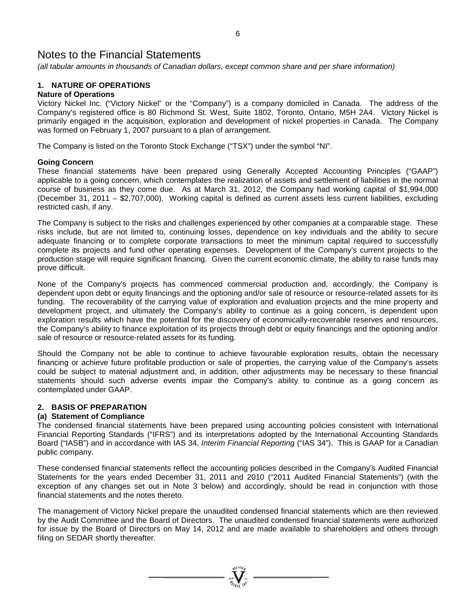*(all tabular amounts in thousands of Canadian dollars, except common share and per share information)*

# **1. NATURE OF OPERATIONS**

# **Nature of Operations**

Victory Nickel Inc. ("Victory Nickel" or the "Company") is a company domiciled in Canada. The address of the Company's registered office is 80 Richmond St. West, Suite 1802, Toronto, Ontario, M5H 2A4. Victory Nickel is primarily engaged in the acquisition, exploration and development of nickel properties in Canada. The Company was formed on February 1, 2007 pursuant to a plan of arrangement.

The Company is listed on the Toronto Stock Exchange ("TSX") under the symbol "NI".

# **Going Concern**

These financial statements have been prepared using Generally Accepted Accounting Principles ("GAAP") applicable to a going concern, which contemplates the realization of assets and settlement of liabilities in the normal course of business as they come due. As at March 31, 2012, the Company had working capital of \$1,994,000 (December 31, 2011 – \$2,707,000). Working capital is defined as current assets less current liabilities, excluding restricted cash, if any.

The Company is subject to the risks and challenges experienced by other companies at a comparable stage. These risks include, but are not limited to, continuing losses, dependence on key individuals and the ability to secure adequate financing or to complete corporate transactions to meet the minimum capital required to successfully complete its projects and fund other operating expenses. Development of the Company's current projects to the production stage will require significant financing. Given the current economic climate, the ability to raise funds may prove difficult.

None of the Company's projects has commenced commercial production and, accordingly, the Company is dependent upon debt or equity financings and the optioning and/or sale of resource or resource-related assets for its funding. The recoverability of the carrying value of exploration and evaluation projects and the mine property and development project, and ultimately the Company's ability to continue as a going concern, is dependent upon exploration results which have the potential for the discovery of economically-recoverable reserves and resources, the Company's ability to finance exploitation of its projects through debt or equity financings and the optioning and/or sale of resource or resource-related assets for its funding.

Should the Company not be able to continue to achieve favourable exploration results, obtain the necessary financing or achieve future profitable production or sale of properties, the carrying value of the Company's assets could be subject to material adjustment and, in addition, other adjustments may be necessary to these financial statements should such adverse events impair the Company's ability to continue as a going concern as contemplated under GAAP.

# **2. BASIS OF PREPARATION**

# **(a) Statement of Compliance**

The condensed financial statements have been prepared using accounting policies consistent with International Financial Reporting Standards ("IFRS") and its interpretations adopted by the International Accounting Standards Board ("IASB") and in accordance with IAS 34, *Interim Financial Reporting* ("IAS 34"). This is GAAP for a Canadian public company.

These condensed financial statements reflect the accounting policies described in the Company's Audited Financial Statements for the years ended December 31, 2011 and 2010 ("2011 Audited Financial Statements") (with the exception of any changes set out in Note 3 below) and accordingly, should be read in conjunction with those financial statements and the notes thereto.

The management of Victory Nickel prepare the unaudited condensed financial statements which are then reviewed by the Audit Committee and the Board of Directors. The unaudited condensed financial statements were authorized for issue by the Board of Directors on May 14, 2012 and are made available to shareholders and others through filing on SEDAR shortly thereafter.

 $\sum_{n=1}^{N^{(10)}h_F}$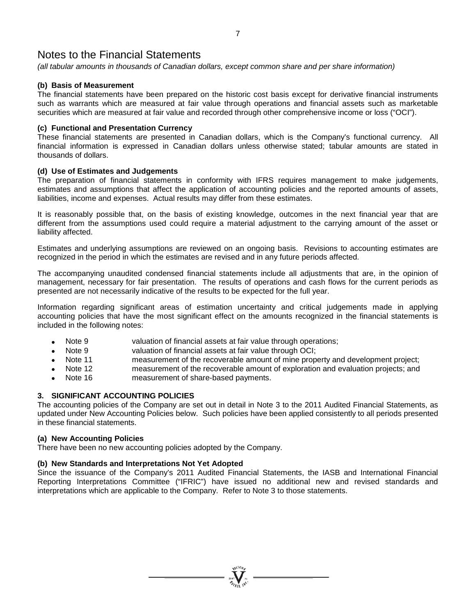*(all tabular amounts in thousands of Canadian dollars, except common share and per share information)*

# **(b) Basis of Measurement**

The financial statements have been prepared on the historic cost basis except for derivative financial instruments such as warrants which are measured at fair value through operations and financial assets such as marketable securities which are measured at fair value and recorded through other comprehensive income or loss ("OCI").

# **(c) Functional and Presentation Currency**

These financial statements are presented in Canadian dollars, which is the Company's functional currency. All financial information is expressed in Canadian dollars unless otherwise stated; tabular amounts are stated in thousands of dollars.

# **(d) Use of Estimates and Judgements**

The preparation of financial statements in conformity with IFRS requires management to make judgements, estimates and assumptions that affect the application of accounting policies and the reported amounts of assets, liabilities, income and expenses. Actual results may differ from these estimates.

It is reasonably possible that, on the basis of existing knowledge, outcomes in the next financial year that are different from the assumptions used could require a material adjustment to the carrying amount of the asset or liability affected.

Estimates and underlying assumptions are reviewed on an ongoing basis. Revisions to accounting estimates are recognized in the period in which the estimates are revised and in any future periods affected.

The accompanying unaudited condensed financial statements include all adjustments that are, in the opinion of management, necessary for fair presentation. The results of operations and cash flows for the current periods as presented are not necessarily indicative of the results to be expected for the full year.

Information regarding significant areas of estimation uncertainty and critical judgements made in applying accounting policies that have the most significant effect on the amounts recognized in the financial statements is included in the following notes:

- Note 9 valuation of financial assets at fair value through operations;
- Note 9 valuation of financial assets at fair value through OCI;
- Note 11 measurement of the recoverable amount of mine property and development project;
- Note 12 measurement of the recoverable amount of exploration and evaluation projects; and
- Note 16 measurement of share-based payments.

# **3. SIGNIFICANT ACCOUNTING POLICIES**

The accounting policies of the Company are set out in detail in Note 3 to the 2011 Audited Financial Statements, as updated under New Accounting Policies below. Such policies have been applied consistently to all periods presented in these financial statements.

### **(a) New Accounting Policies**

There have been no new accounting policies adopted by the Company.

# **(b) New Standards and Interpretations Not Yet Adopted**

Since the issuance of the Company's 2011 Audited Financial Statements, the IASB and International Financial Reporting Interpretations Committee ("IFRIC") have issued no additional new and revised standards and interpretations which are applicable to the Company. Refer to Note 3 to those statements.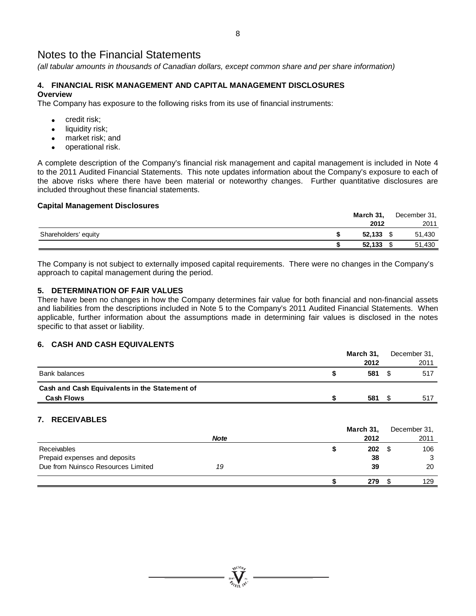*(all tabular amounts in thousands of Canadian dollars, except common share and per share information)*

# **4. FINANCIAL RISK MANAGEMENT AND CAPITAL MANAGEMENT DISCLOSURES Overview**

The Company has exposure to the following risks from its use of financial instruments:

- credit risk;
- liquidity risk;
- market risk; and
- operational risk.

A complete description of the Company's financial risk management and capital management is included in Note 4 to the 2011 Audited Financial Statements. This note updates information about the Company's exposure to each of the above risks where there have been material or noteworthy changes. Further quantitative disclosures are included throughout these financial statements.

# **Capital Management Disclosures**

|                      | March 31,   |  | December 31, |
|----------------------|-------------|--|--------------|
|                      | 2012        |  | 2011         |
| Shareholders' equity | $52,133$ \$ |  | 51,430       |
|                      | 52,133      |  | 51,430       |

The Company is not subject to externally imposed capital requirements. There were no changes in the Company's approach to capital management during the period.

# **5. DETERMINATION OF FAIR VALUES**

There have been no changes in how the Company determines fair value for both financial and non-financial assets and liabilities from the descriptions included in Note 5 to the Company's 2011 Audited Financial Statements. When applicable, further information about the assumptions made in determining fair values is disclosed in the notes specific to that asset or liability.

# **6. CASH AND CASH EQUIVALENTS**

|                                               |   | March 31,         |      | December 31,         |
|-----------------------------------------------|---|-------------------|------|----------------------|
|                                               |   | 2012              |      | 2011                 |
| <b>Bank balances</b>                          | S | 581               | - \$ | 517                  |
| Cash and Cash Equivalents in the Statement of |   |                   |      |                      |
| <b>Cash Flows</b>                             |   | 581               | - \$ | 517                  |
| 7. RECEIVABLES<br><b>Note</b>                 |   | March 31,<br>2012 |      | December 31,<br>2011 |
| Receivables                                   | œ | 202               | S    | 106                  |

|                                    | <b>Note</b> | 2012 | 2011 |
|------------------------------------|-------------|------|------|
| Receivables                        |             | 202  | 106  |
| Prepaid expenses and deposits      |             | 38   | 3    |
| Due from Nuinsco Resources Limited | 19          | 39   | 20   |
|                                    |             | 279  | 129  |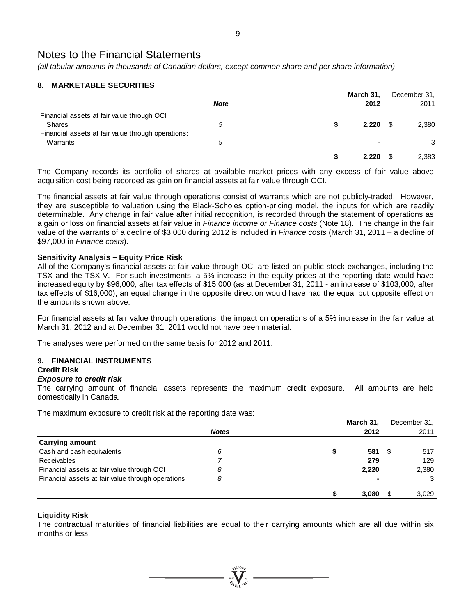*(all tabular amounts in thousands of Canadian dollars, except common share and per share information)*

# **8. MARKETABLE SECURITIES**

|                                                    |             | March 31, |                | December 31, |
|----------------------------------------------------|-------------|-----------|----------------|--------------|
|                                                    | <b>Note</b> | 2012      |                | 2011         |
| Financial assets at fair value through OCI:        |             |           |                |              |
| <b>Shares</b>                                      | 9           | 2.220     |                | 2,380        |
| Financial assets at fair value through operations: |             |           |                |              |
| Warrants                                           | 9           |           | $\blacksquare$ |              |
|                                                    |             | 2,220     |                | 2,383        |

The Company records its portfolio of shares at available market prices with any excess of fair value above acquisition cost being recorded as gain on financial assets at fair value through OCI.

The financial assets at fair value through operations consist of warrants which are not publicly-traded. However, they are susceptible to valuation using the Black-Scholes option-pricing model, the inputs for which are readily determinable. Any change in fair value after initial recognition, is recorded through the statement of operations as a gain or loss on financial assets at fair value in *Finance income or Finance costs* (Note 18). The change in the fair value of the warrants of a decline of \$3,000 during 2012 is included in *Finance costs* (March 31, 2011 – a decline of \$97,000 in *Finance costs*).

# **Sensitivity Analysis – Equity Price Risk**

All of the Company's financial assets at fair value through OCI are listed on public stock exchanges, including the TSX and the TSX-V. For such investments, a 5% increase in the equity prices at the reporting date would have increased equity by \$96,000, after tax effects of \$15,000 (as at December 31, 2011 - an increase of \$103,000, after tax effects of \$16,000); an equal change in the opposite direction would have had the equal but opposite effect on the amounts shown above.

For financial assets at fair value through operations, the impact on operations of a 5% increase in the fair value at March 31, 2012 and at December 31, 2011 would not have been material.

The analyses were performed on the same basis for 2012 and 2011.

# **9. FINANCIAL INSTRUMENTS**

# **Credit Risk**

# *Exposure to credit risk*

The carrying amount of financial assets represents the maximum credit exposure. All amounts are held domestically in Canada.

The maximum exposure to credit risk at the reporting date was:

|                                                   |              | March 31, |      | December 31, |
|---------------------------------------------------|--------------|-----------|------|--------------|
|                                                   | <b>Notes</b> | 2012      |      | 2011         |
| <b>Carrying amount</b>                            |              |           |      |              |
| Cash and cash equivalents                         | 6            | 581       | - \$ | 517          |
| <b>Receivables</b>                                |              | 279       |      | 129          |
| Financial assets at fair value through OCI        | 8            | 2,220     |      | 2,380        |
| Financial assets at fair value through operations | 8            |           |      |              |
|                                                   |              | 3,080     | -S   | 3,029        |

# **Liquidity Risk**

The contractual maturities of financial liabilities are equal to their carrying amounts which are all due within six months or less.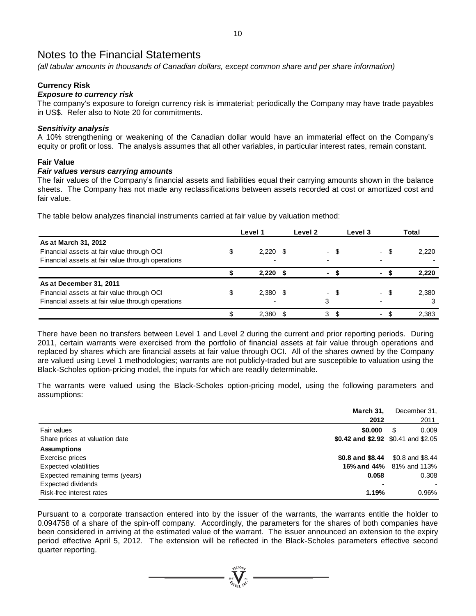*(all tabular amounts in thousands of Canadian dollars, except common share and per share information)*

# **Currency Risk**

# *Exposure to currency risk*

The company's exposure to foreign currency risk is immaterial; periodically the Company may have trade payables in US\$. Refer also to Note 20 for commitments.

#### *Sensitivity analysis*

A 10% strengthening or weakening of the Canadian dollar would have an immaterial effect on the Company's equity or profit or loss. The analysis assumes that all other variables, in particular interest rates, remain constant.

#### **Fair Value**

#### *Fair values versus carrying amounts*

The fair values of the Company's financial assets and liabilities equal their carrying amounts shown in the balance sheets. The Company has not made any reclassifications between assets recorded at cost or amortized cost and fair value.

The table below analyzes financial instruments carried at fair value by valuation method:

|                                                   | Level 1    | Level 2 |                          | Level 3 |                          |     | Total |
|---------------------------------------------------|------------|---------|--------------------------|---------|--------------------------|-----|-------|
| As at March 31, 2012                              |            |         |                          |         |                          |     |       |
| Financial assets at fair value through OCI        | $2,220$ \$ |         | $\overline{\phantom{0}}$ | \$.     |                          | \$. | 2,220 |
| Financial assets at fair value through operations | -          |         |                          |         |                          |     |       |
|                                                   | 2.220      |         | $\blacksquare$           |         | ۰.                       |     | 2.220 |
| As at December 31, 2011                           |            |         |                          |         |                          |     |       |
| Financial assets at fair value through OCI        | $2,380$ \$ |         | - \$<br>$\sim$           |         | $\overline{\phantom{0}}$ | -S  | 2.380 |
| Financial assets at fair value through operations |            |         | 3                        |         |                          |     |       |
|                                                   | 2.380      |         | 3                        |         |                          |     | 2.383 |

There have been no transfers between Level 1 and Level 2 during the current and prior reporting periods. During 2011, certain warrants were exercised from the portfolio of financial assets at fair value through operations and replaced by shares which are financial assets at fair value through OCI. All of the shares owned by the Company are valued using Level 1 methodologies; warrants are not publicly-traded but are susceptible to valuation using the Black-Scholes option-pricing model, the inputs for which are readily determinable.

The warrants were valued using the Black-Scholes option-pricing model, using the following parameters and assumptions:

|                                  | March 31.<br>December 31,           |                                 |
|----------------------------------|-------------------------------------|---------------------------------|
|                                  | 2012                                | 2011                            |
| Fair values                      | \$0.000                             | \$.<br>0.009                    |
| Share prices at valuation date   | \$0.42 and \$2.92 \$0.41 and \$2.05 |                                 |
| <b>Assumptions</b>               |                                     |                                 |
| Exercise prices                  | \$0.8 and \$8.44                    | \$0.8 and \$8.44                |
| <b>Expected volatilities</b>     |                                     | <b>16% and 44%</b> 81% and 113% |
| Expected remaining terms (years) | 0.058                               | 0.308                           |
| Expected dividends               |                                     |                                 |
| Risk-free interest rates         | 1.19%                               | 0.96%                           |

Pursuant to a corporate transaction entered into by the issuer of the warrants, the warrants entitle the holder to 0.094758 of a share of the spin-off company. Accordingly, the parameters for the shares of both companies have been considered in arriving at the estimated value of the warrant. The issuer announced an extension to the expiry period effective April 5, 2012. The extension will be reflected in the Black-Scholes parameters effective second quarter reporting.

**WCIOF**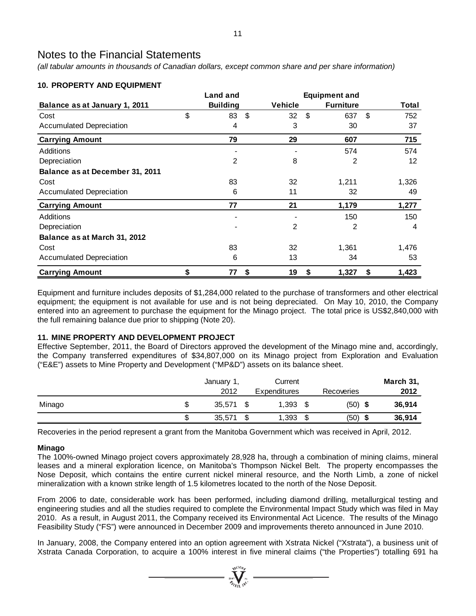*(all tabular amounts in thousands of Canadian dollars, except common share and per share information)*

# **10. PROPERTY AND EQUIPMENT**

|                                 | <b>Land and</b> |                |         | <b>Equipment and</b> |                   |
|---------------------------------|-----------------|----------------|---------|----------------------|-------------------|
| Balance as at January 1, 2011   | <b>Building</b> |                | Vehicle | <b>Furniture</b>     | Total             |
| Cost                            | \$<br>83        | $\mathfrak{F}$ | 32      | \$<br>637            | \$<br>752         |
| <b>Accumulated Depreciation</b> | 4               |                | 3       | 30                   | 37                |
| <b>Carrying Amount</b>          | 79              |                | 29      | 607                  | 715               |
| <b>Additions</b>                |                 |                |         | 574                  | 574               |
| Depreciation                    | 2               |                | 8       | 2                    | $12 \overline{ }$ |
| Balance as at December 31, 2011 |                 |                |         |                      |                   |
| Cost                            | 83              |                | 32      | 1,211                | 1,326             |
| <b>Accumulated Depreciation</b> | 6               |                | 11      | 32                   | 49                |
| <b>Carrying Amount</b>          | 77              |                | 21      | 1,179                | 1,277             |
| Additions                       |                 |                |         | 150                  | 150               |
| Depreciation                    |                 |                | 2       | 2                    | 4                 |
| Balance as at March 31, 2012    |                 |                |         |                      |                   |
| Cost                            | 83              |                | 32      | 1,361                | 1,476             |
| <b>Accumulated Depreciation</b> | 6               |                | 13      | 34                   | 53                |
| <b>Carrying Amount</b>          | \$<br>77        | \$             | 19      | \$<br>1,327          | \$<br>1,423       |

Equipment and furniture includes deposits of \$1,284,000 related to the purchase of transformers and other electrical equipment; the equipment is not available for use and is not being depreciated. On May 10, 2010, the Company entered into an agreement to purchase the equipment for the Minago project. The total price is US\$2,840,000 with the full remaining balance due prior to shipping (Note 20).

# **11. MINE PROPERTY AND DEVELOPMENT PROJECT**

Effective September, 2011, the Board of Directors approved the development of the Minago mine and, accordingly, the Company transferred expenditures of \$34,807,000 on its Minago project from Exploration and Evaluation ("E&E") assets to Mine Property and Development ("MP&D") assets on its balance sheet.

|        | January 1,<br>2012 |        | Current<br><b>Expenditures</b> |    | Recoveries | March 31,<br>2012 |
|--------|--------------------|--------|--------------------------------|----|------------|-------------------|
| Minago | 35.571             | \$     | 1,393                          | S  | $(50)$ \$  | 36,914            |
|        | 35,571             | σ<br>ъ | 1,393                          | \$ | (50)<br>Ð  | 36,914            |

Recoveries in the period represent a grant from the Manitoba Government which was received in April, 2012.

# **Minago**

The 100%-owned Minago project covers approximately 28,928 ha, through a combination of mining claims, mineral leases and a mineral exploration licence, on Manitoba's Thompson Nickel Belt. The property encompasses the Nose Deposit, which contains the entire current nickel mineral resource, and the North Limb, a zone of nickel mineralization with a known strike length of 1.5 kilometres located to the north of the Nose Deposit.

From 2006 to date, considerable work has been performed, including diamond drilling, metallurgical testing and engineering studies and all the studies required to complete the Environmental Impact Study which was filed in May 2010. As a result, in August 2011, the Company received its Environmental Act Licence. The results of the Minago Feasibility Study ("FS") were announced in December 2009 and improvements thereto announced in June 2010.

In January, 2008, the Company entered into an option agreement with Xstrata Nickel ("Xstrata"), a business unit of Xstrata Canada Corporation, to acquire a 100% interest in five mineral claims ("the Properties") totalling 691 ha

 $\sum_{i=1}^{N^{(10)}h_{j}}$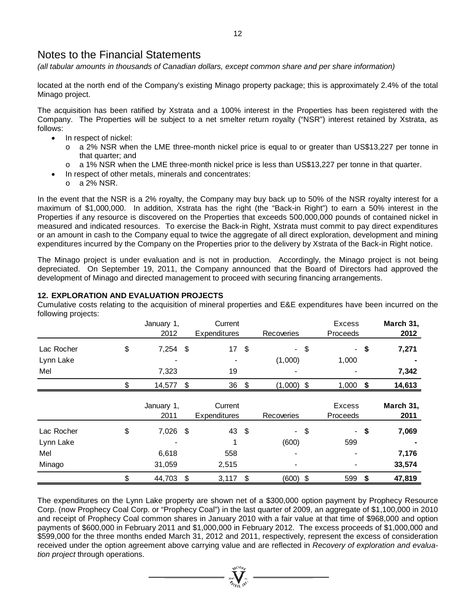*(all tabular amounts in thousands of Canadian dollars, except common share and per share information)*

located at the north end of the Company's existing Minago property package; this is approximately 2.4% of the total Minago project.

The acquisition has been ratified by Xstrata and a 100% interest in the Properties has been registered with the Company. The Properties will be subject to a net smelter return royalty ("NSR") interest retained by Xstrata, as follows:

- In respect of nickel:
	- o a 2% NSR when the LME three-month nickel price is equal to or greater than US\$13,227 per tonne in that quarter; and
	- o a 1% NSR when the LME three-month nickel price is less than US\$13,227 per tonne in that quarter.
	- In respect of other metals, minerals and concentrates:
		- o a 2% NSR.

In the event that the NSR is a 2% royalty, the Company may buy back up to 50% of the NSR royalty interest for a maximum of \$1,000,000. In addition, Xstrata has the right (the "Back-in Right") to earn a 50% interest in the Properties if any resource is discovered on the Properties that exceeds 500,000,000 pounds of contained nickel in measured and indicated resources. To exercise the Back-in Right, Xstrata must commit to pay direct expenditures or an amount in cash to the Company equal to twice the aggregate of all direct exploration, development and mining expenditures incurred by the Company on the Properties prior to the delivery by Xstrata of the Back-in Right notice.

The Minago project is under evaluation and is not in production. Accordingly, the Minago project is not being depreciated. On September 19, 2011, the Company announced that the Board of Directors had approved the development of Minago and directed management to proceed with securing financing arrangements.

# **12. EXPLORATION AND EVALUATION PROJECTS**

Cumulative costs relating to the acquisition of mineral properties and E&E expenditures have been incurred on the following projects:

|            | January 1,         | Current                        |                  |                           | Excess                    |        | March 31,         |
|------------|--------------------|--------------------------------|------------------|---------------------------|---------------------------|--------|-------------------|
|            | 2012               | Expenditures                   | Recoveries       |                           | Proceeds                  |        | 2012              |
| Lac Rocher | \$<br>$7,254$ \$   | 17 <sub>1</sub>                | \$<br>$\sim$     | $\frac{1}{2}$             |                           | $-$ \$ | 7,271             |
| Lynn Lake  |                    | ٠                              | (1,000)          |                           | 1,000                     |        |                   |
| Mel        | 7,323              | 19                             |                  |                           |                           |        | 7,342             |
|            | \$<br>14,577 \$    | $36 \quad $$                   | $(1,000)$ \$     |                           | $1,000$ \$                |        | 14,613            |
|            | January 1,<br>2011 | Current<br><b>Expenditures</b> | Recoveries       |                           | <b>Excess</b><br>Proceeds |        | March 31,<br>2011 |
| Lac Rocher | \$<br>7,026 \$     | 43 \$                          | $\sim$           | $\boldsymbol{\mathsf{S}}$ |                           | $-$ \$ | 7,069             |
| Lynn Lake  |                    |                                | (600)            |                           | 599                       |        |                   |
| Mel        | 6,618              | 558                            |                  |                           |                           |        | 7,176             |
| Minago     | 31,059             | 2,515                          |                  |                           |                           |        | 33,574            |
|            | \$<br>44,703       | \$<br>3,117                    | \$<br>$(600)$ \$ |                           | 599                       | \$     | 47,819            |

The expenditures on the Lynn Lake property are shown net of a \$300,000 option payment by Prophecy Resource Corp. (now Prophecy Coal Corp. or "Prophecy Coal") in the last quarter of 2009, an aggregate of \$1,100,000 in 2010 and receipt of Prophecy Coal common shares in January 2010 with a fair value at that time of \$968,000 and option payments of \$600,000 in February 2011 and \$1,000,000 in February 2012. The excess proceeds of \$1,000,000 and \$599,000 for the three months ended March 31, 2012 and 2011, respectively, represent the excess of consideration received under the option agreement above carrying value and are reflected in *Recovery of exploration and evaluation project* through operations.

 $\sum_{\substack{i=1\\i\neq j}}^{q\sqrt{100}n_{j}}$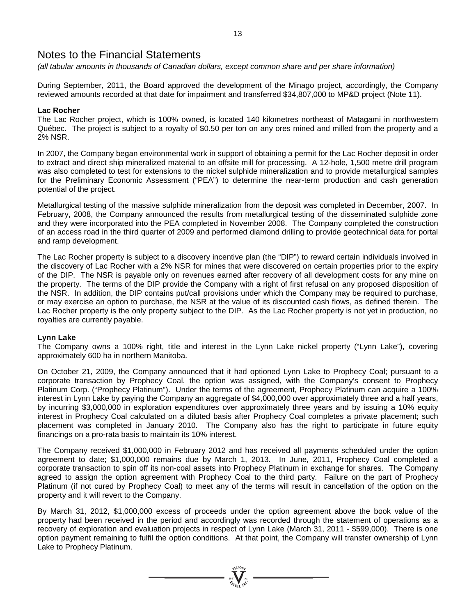*(all tabular amounts in thousands of Canadian dollars, except common share and per share information)*

During September, 2011, the Board approved the development of the Minago project, accordingly, the Company reviewed amounts recorded at that date for impairment and transferred \$34,807,000 to MP&D project (Note 11).

# **Lac Rocher**

The Lac Rocher project, which is 100% owned, is located 140 kilometres northeast of Matagami in northwestern Québec. The project is subject to a royalty of \$0.50 per ton on any ores mined and milled from the property and a 2% NSR.

In 2007, the Company began environmental work in support of obtaining a permit for the Lac Rocher deposit in order to extract and direct ship mineralized material to an offsite mill for processing. A 12-hole, 1,500 metre drill program was also completed to test for extensions to the nickel sulphide mineralization and to provide metallurgical samples for the Preliminary Economic Assessment ("PEA") to determine the near-term production and cash generation potential of the project.

Metallurgical testing of the massive sulphide mineralization from the deposit was completed in December, 2007. In February, 2008, the Company announced the results from metallurgical testing of the disseminated sulphide zone and they were incorporated into the PEA completed in November 2008. The Company completed the construction of an access road in the third quarter of 2009 and performed diamond drilling to provide geotechnical data for portal and ramp development.

The Lac Rocher property is subject to a discovery incentive plan (the "DIP") to reward certain individuals involved in the discovery of Lac Rocher with a 2% NSR for mines that were discovered on certain properties prior to the expiry of the DIP. The NSR is payable only on revenues earned after recovery of all development costs for any mine on the property. The terms of the DIP provide the Company with a right of first refusal on any proposed disposition of the NSR. In addition, the DIP contains put/call provisions under which the Company may be required to purchase, or may exercise an option to purchase, the NSR at the value of its discounted cash flows, as defined therein. The Lac Rocher property is the only property subject to the DIP. As the Lac Rocher property is not yet in production, no royalties are currently payable.

# **Lynn Lake**

The Company owns a 100% right, title and interest in the Lynn Lake nickel property ("Lynn Lake"), covering approximately 600 ha in northern Manitoba.

On October 21, 2009, the Company announced that it had optioned Lynn Lake to Prophecy Coal; pursuant to a corporate transaction by Prophecy Coal, the option was assigned, with the Company's consent to Prophecy Platinum Corp. ("Prophecy Platinum"). Under the terms of the agreement, Prophecy Platinum can acquire a 100% interest in Lynn Lake by paying the Company an aggregate of \$4,000,000 over approximately three and a half years, by incurring \$3,000,000 in exploration expenditures over approximately three years and by issuing a 10% equity interest in Prophecy Coal calculated on a diluted basis after Prophecy Coal completes a private placement; such placement was completed in January 2010. The Company also has the right to participate in future equity financings on a pro-rata basis to maintain its 10% interest.

The Company received \$1,000,000 in February 2012 and has received all payments scheduled under the option agreement to date; \$1,000,000 remains due by March 1, 2013. In June, 2011, Prophecy Coal completed a corporate transaction to spin off its non-coal assets into Prophecy Platinum in exchange for shares. The Company agreed to assign the option agreement with Prophecy Coal to the third party. Failure on the part of Prophecy Platinum (if not cured by Prophecy Coal) to meet any of the terms will result in cancellation of the option on the property and it will revert to the Company.

By March 31, 2012, \$1,000,000 excess of proceeds under the option agreement above the book value of the property had been received in the period and accordingly was recorded through the statement of operations as a recovery of exploration and evaluation projects in respect of Lynn Lake (March 31, 2011 - \$599,000). There is one option payment remaining to fulfil the option conditions. At that point, the Company will transfer ownership of Lynn Lake to Prophecy Platinum.

 $\sum_{u=1}^{n} \sum_{\substack{u \in \mathcal{U} \\ u \in \mathcal{U}}} \sum_{u \in \mathcal{U}} \mathcal{U}^{(u)}$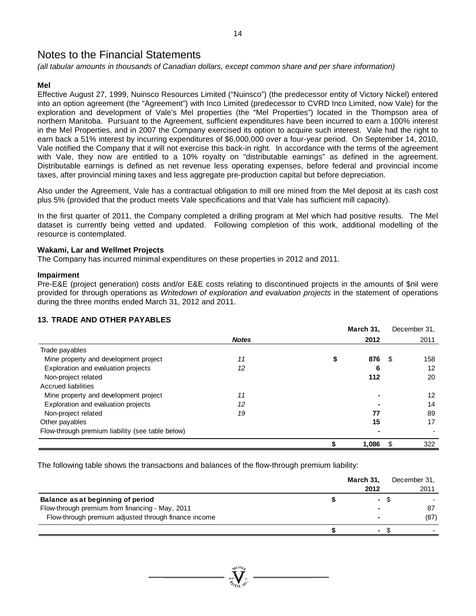*(all tabular amounts in thousands of Canadian dollars, except common share and per share information)*

# **Mel**

Effective August 27, 1999, Nuinsco Resources Limited ("Nuinsco") (the predecessor entity of Victory Nickel) entered into an option agreement (the "Agreement") with Inco Limited (predecessor to CVRD Inco Limited, now Vale) for the exploration and development of Vale's Mel properties (the "Mel Properties") located in the Thompson area of northern Manitoba. Pursuant to the Agreement, sufficient expenditures have been incurred to earn a 100% interest in the Mel Properties, and in 2007 the Company exercised its option to acquire such interest. Vale had the right to earn back a 51% interest by incurring expenditures of \$6,000,000 over a four-year period. On September 14, 2010, Vale notified the Company that it will not exercise this back-in right. In accordance with the terms of the agreement with Vale, they now are entitled to a 10% royalty on "distributable earnings" as defined in the agreement. Distributable earnings is defined as net revenue less operating expenses, before federal and provincial income taxes, after provincial mining taxes and less aggregate pre-production capital but before depreciation.

Also under the Agreement, Vale has a contractual obligation to mill ore mined from the Mel deposit at its cash cost plus 5% (provided that the product meets Vale specifications and that Vale has sufficient mill capacity).

In the first quarter of 2011, the Company completed a drilling program at Mel which had positive results. The Mel dataset is currently being vetted and updated. Following completion of this work, additional modelling of the resource is contemplated.

### **Wakami, Lar and Wellmet Projects**

The Company has incurred minimal expenditures on these properties in 2012 and 2011.

### **Impairment**

Pre-E&E (project generation) costs and/or E&E costs relating to discontinued projects in the amounts of \$nil were provided for through operations as *Writedown of exploration and evaluation projects* in the statement of operations during the three months ended March 31, 2012 and 2011.

# **13. TRADE AND OTHER PAYABLES**

|                                                  |              | March 31, |     | December 31. |
|--------------------------------------------------|--------------|-----------|-----|--------------|
|                                                  | <b>Notes</b> | 2012      |     | 2011         |
| Trade payables                                   |              |           |     |              |
| Mine property and development project            | 11           | 876       | -95 | 158          |
| Exploration and evaluation projects              | 12           | 6         |     | 12           |
| Non-project related                              |              | 112       |     | 20           |
| Accrued liabilities                              |              |           |     |              |
| Mine property and development project            | 11           |           |     | 12           |
| Exploration and evaluation projects              | 12           |           |     | 14           |
| Non-project related                              | 19           | 77        |     | 89           |
| Other payables                                   |              | 15        |     | 17           |
| Flow-through premium liability (see table below) |              |           |     |              |
|                                                  |              | 1,086     | \$. | 322          |

The following table shows the transactions and balances of the flow-through premium liability:

|                                                      | March 31,<br>2012 | December 31,<br>2011 |
|------------------------------------------------------|-------------------|----------------------|
| Balance as at beginning of period                    | $\sim$            |                      |
| Flow-through premium from financing - May, 2011      | -                 | 87                   |
| Flow-through premium adjusted through finance income |                   | (87)                 |
|                                                      |                   |                      |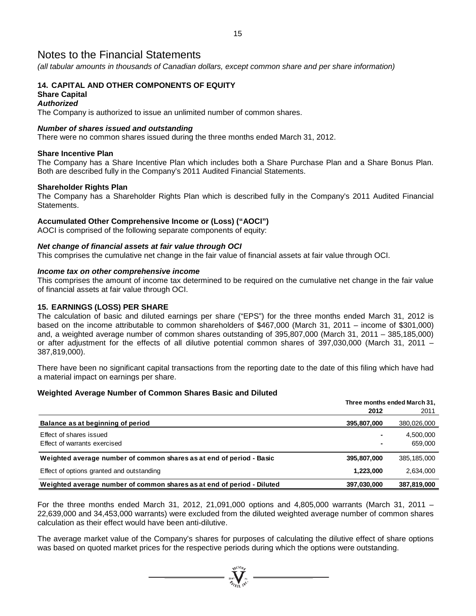*(all tabular amounts in thousands of Canadian dollars, except common share and per share information)*

#### **14. CAPITAL AND OTHER COMPONENTS OF EQUITY Share Capital**

#### *Authorized*

The Company is authorized to issue an unlimited number of common shares.

#### *Number of shares issued and outstanding*

There were no common shares issued during the three months ended March 31, 2012.

#### **Share Incentive Plan**

The Company has a Share Incentive Plan which includes both a Share Purchase Plan and a Share Bonus Plan. Both are described fully in the Company's 2011 Audited Financial Statements.

#### **Shareholder Rights Plan**

The Company has a Shareholder Rights Plan which is described fully in the Company's 2011 Audited Financial Statements.

### **Accumulated Other Comprehensive Income or (Loss) ("AOCI")**

AOCI is comprised of the following separate components of equity:

#### *Net change of financial assets at fair value through OCI*

This comprises the cumulative net change in the fair value of financial assets at fair value through OCI.

#### *Income tax on other comprehensive income*

This comprises the amount of income tax determined to be required on the cumulative net change in the fair value of financial assets at fair value through OCI.

#### **15. EARNINGS (LOSS) PER SHARE**

The calculation of basic and diluted earnings per share ("EPS") for the three months ended March 31, 2012 is based on the income attributable to common shareholders of \$467,000 (March 31, 2011 – income of \$301,000) and, a weighted average number of common shares outstanding of 395,807,000 (March 31, 2011 – 385,185,000) or after adjustment for the effects of all dilutive potential common shares of 397,030,000 (March 31, 2011 – 387,819,000).

There have been no significant capital transactions from the reporting date to the date of this filing which have had a material impact on earnings per share.

#### **Weighted Average Number of Common Shares Basic and Diluted**

|                                                                        |             | Three months ended March 31, |
|------------------------------------------------------------------------|-------------|------------------------------|
|                                                                        | 2012        | 2011                         |
| Balance as at beginning of period                                      | 395,807,000 | 380,026,000                  |
| Effect of shares issued<br>Effect of warrants exercised                |             | 4,500,000<br>659,000         |
| Weighted average number of common shares as at end of period - Basic   | 395,807,000 | 385, 185, 000                |
| Effect of options granted and outstanding                              | 1,223,000   | 2,634,000                    |
| Weighted average number of common shares as at end of period - Diluted | 397,030,000 | 387,819,000                  |

For the three months ended March 31, 2012, 21,091,000 options and 4,805,000 warrants (March 31, 2011 – 22,639,000 and 34,453,000 warrants) were excluded from the diluted weighted average number of common shares calculation as their effect would have been anti-dilutive.

The average market value of the Company's shares for purposes of calculating the dilutive effect of share options was based on quoted market prices for the respective periods during which the options were outstanding.

 $\sum_{\alpha}^{N^{(10)}\rho}$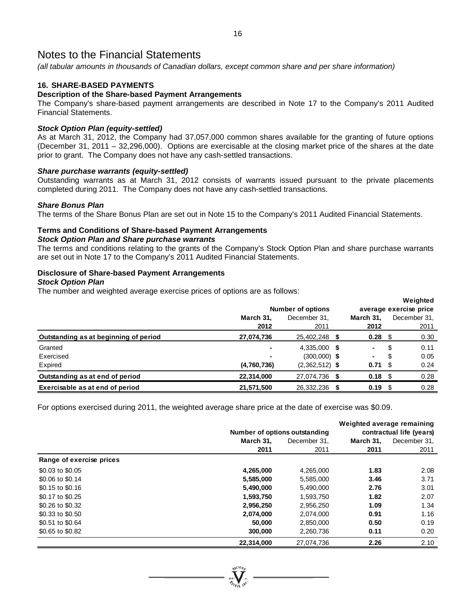*(all tabular amounts in thousands of Canadian dollars, except common share and per share information)*

# **16. SHARE-BASED PAYMENTS**

# **Description of the Share-based Payment Arrangements**

The Company's share-based payment arrangements are described in Note 17 to the Company's 2011 Audited Financial Statements.

### *Stock Option Plan (equity-settled)*

As at March 31, 2012, the Company had 37,057,000 common shares available for the granting of future options (December 31, 2011 – 32,296,000). Options are exercisable at the closing market price of the shares at the date prior to grant. The Company does not have any cash-settled transactions.

#### *Share purchase warrants (equity-settled)*

Outstanding warrants as at March 31, 2012 consists of warrants issued pursuant to the private placements completed during 2011. The Company does not have any cash-settled transactions.

#### *Share Bonus Plan*

The terms of the Share Bonus Plan are set out in Note 15 to the Company's 2011 Audited Financial Statements.

### **Terms and Conditions of Share-based Payment Arrangements**

#### *Stock Option Plan and Share purchase warrants*

The terms and conditions relating to the grants of the Company's Stock Option Plan and share purchase warrants are set out in Note 17 to the Company's 2011 Audited Financial Statements.

#### **Disclosure of Share-based Payment Arrangements** *Stock Option Plan*

The number and weighted average exercise prices of options are as follows:

| ີ<br>ີ                                |             | <b>Number of options</b> |                |      | Weighted<br>average exercise price |
|---------------------------------------|-------------|--------------------------|----------------|------|------------------------------------|
|                                       | March 31.   | December 31.             | March 31.      |      | December 31.                       |
|                                       | 2012        | 2011                     | 2012           |      | 2011                               |
| Outstanding as at beginning of period | 27,074,736  | 25,402,248 \$            | $0.28$ \$      |      | 0.30                               |
| Granted                               |             | 4,335,000 \$             | $\blacksquare$ | \$   | 0.11                               |
| Exercised                             | ٠           | $(300,000)$ \$           | ٠              | \$   | 0.05                               |
| Expired                               | (4,760,736) | $(2,362,512)$ \$         | 0.71           | - \$ | 0.24                               |
| Outstanding as at end of period       | 22,314,000  | 27,074,736 \$            | $0.18$ \$      |      | 0.28                               |
| Exercisable as at end of period       | 21,571,500  | 26,332,236               | 0.19           |      | 0.28                               |

For options exercised during 2011, the weighted average share price at the date of exercise was \$0.09.

|                          |            |                               | Weighted average remaining |              |  |
|--------------------------|------------|-------------------------------|----------------------------|--------------|--|
|                          |            | Number of options outstanding | contractual life (years)   |              |  |
|                          | March 31,  | December 31.                  | March 31.                  | December 31. |  |
|                          | 2011       | 2011                          | 2011                       | 2011         |  |
| Range of exercise prices |            |                               |                            |              |  |
| \$0.03 to \$0.05         | 4,265,000  | 4,265,000                     | 1.83                       | 2.08         |  |
| \$0.06 to \$0.14         | 5,585,000  | 5,585,000                     | 3.46                       | 3.71         |  |
| \$0.15 to \$0.16         | 5,490,000  | 5,490,000                     | 2.76                       | 3.01         |  |
| \$0.17 to \$0.25         | 1,593,750  | 1,593,750                     | 1.82                       | 2.07         |  |
| \$0.26 to \$0.32         | 2,956,250  | 2,956,250                     | 1.09                       | 1.34         |  |
| \$0.33 to \$0.50         | 2,074,000  | 2,074,000                     | 0.91                       | 1.16         |  |
| \$0.51 to \$0.64         | 50,000     | 2,850,000                     | 0.50                       | 0.19         |  |
| \$0.65 to \$0.82         | 300,000    | 2,260,736                     | 0.11                       | 0.20         |  |
|                          | 22,314,000 | 27.074.736                    | 2.26                       | 2.10         |  |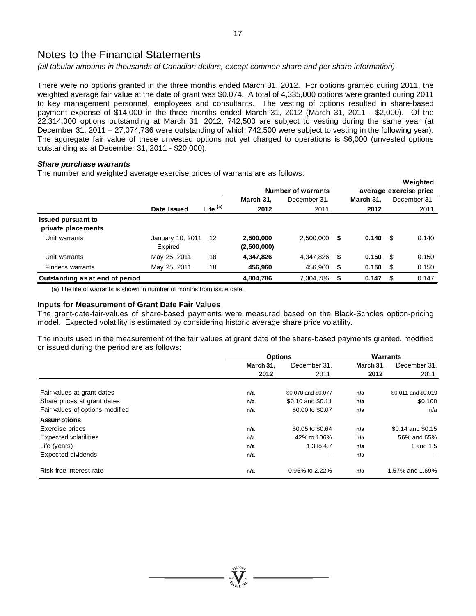*(all tabular amounts in thousands of Canadian dollars, except common share and per share information)*

There were no options granted in the three months ended March 31, 2012. For options granted during 2011, the weighted average fair value at the date of grant was \$0.074. A total of 4,335,000 options were granted during 2011 to key management personnel, employees and consultants. The vesting of options resulted in share-based payment expense of \$14,000 in the three months ended March 31, 2012 (March 31, 2011 - \$2,000). Of the 22,314,000 options outstanding at March 31, 2012, 742,500 are subject to vesting during the same year (at December 31, 2011 – 27,074,736 were outstanding of which 742,500 were subject to vesting in the following year). The aggregate fair value of these unvested options not yet charged to operations is \$6,000 (unvested options outstanding as at December 31, 2011 - \$20,000).

#### *Share purchase warrants*

The number and weighted average exercise prices of warrants are as follows:

|                                                 |                             |                     |                          |                           |             |      | Weighted               |
|-------------------------------------------------|-----------------------------|---------------------|--------------------------|---------------------------|-------------|------|------------------------|
|                                                 |                             |                     |                          | <b>Number of warrants</b> |             |      | average exercise price |
|                                                 |                             |                     | March 31,                | December 31.              | March 31.   |      | December 31,           |
|                                                 | Date Issued                 | Life <sup>(a)</sup> | 2012                     | 2011                      | 2012        |      | 2011                   |
| <b>Issued pursuant to</b><br>private placements |                             |                     |                          |                           |             |      |                        |
| Unit warrants                                   | January 10, 2011<br>Expired | 12                  | 2,500,000<br>(2,500,000) | 2.500.000                 | \$<br>0.140 | - \$ | 0.140                  |
| Unit warrants                                   | May 25, 2011                | 18                  | 4,347,826                | 4,347,826                 | \$<br>0.150 | - \$ | 0.150                  |
| Finder's warrants                               | May 25, 2011                | 18                  | 456,960                  | 456,960                   | \$<br>0.150 | \$   | 0.150                  |
| Outstanding as at end of period                 |                             |                     | 4,804,786                | 7,304,786                 | 0.147       | \$   | 0.147                  |

(a) The life of warrants is shown in number of months from issue date.

#### **Inputs for Measurement of Grant Date Fair Values**

The grant-date-fair-values of share-based payments were measured based on the Black-Scholes option-pricing model. Expected volatility is estimated by considering historic average share price volatility.

The inputs used in the measurement of the fair values at grant date of the share-based payments granted, modified or issued during the period are as follows:

|                                 | <b>Options</b> |                     |           | Warrants            |  |  |
|---------------------------------|----------------|---------------------|-----------|---------------------|--|--|
|                                 | March 31.      | December 31.        | March 31. | December 31.        |  |  |
|                                 | 2012           | 2011                | 2012      | 2011                |  |  |
|                                 |                |                     |           |                     |  |  |
| Fair values at grant dates      | n/a            | \$0.070 and \$0.077 | n/a       | \$0.011 and \$0.019 |  |  |
| Share prices at grant dates     | n/a            | \$0.10 and \$0.11   | n/a       | \$0.100             |  |  |
| Fair values of options modified | n/a            | \$0.00 to \$0.07    | n/a       | n/a                 |  |  |
| <b>Assumptions</b>              |                |                     |           |                     |  |  |
| Exercise prices                 | n/a            | \$0.05 to \$0.64    | n/a       | \$0.14 and \$0.15   |  |  |
| <b>Expected volatilities</b>    | n/a            | 42% to 106%         | n/a       | 56% and 65%         |  |  |
| Life (years)                    | n/a            | 1.3 to 4.7          | n/a       | 1 and 1.5           |  |  |
| Expected dividends              | n/a            |                     | n/a       |                     |  |  |
| Risk-free interest rate         | n/a            | 0.95% to 2.22%      | n/a       | 1.57% and 1.69%     |  |  |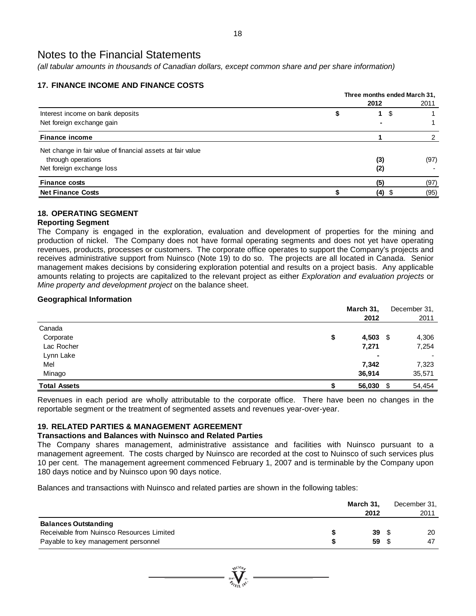*(all tabular amounts in thousands of Canadian dollars, except common share and per share information)*

# **17. FINANCE INCOME AND FINANCE COSTS**

|                                                            | Three months ended March 31, |         |      |  |  |
|------------------------------------------------------------|------------------------------|---------|------|--|--|
|                                                            |                              | 2012    | 2011 |  |  |
| Interest income on bank deposits                           |                              | 1<br>-5 |      |  |  |
| Net foreign exchange gain                                  |                              |         |      |  |  |
| <b>Finance income</b>                                      |                              |         |      |  |  |
| Net change in fair value of financial assets at fair value |                              |         |      |  |  |
| through operations                                         |                              | (3)     | (97) |  |  |
| Net foreign exchange loss                                  |                              | (2)     |      |  |  |
| <b>Finance costs</b>                                       |                              | (5)     | (97) |  |  |
| <b>Net Finance Costs</b>                                   |                              | (4)     | (95) |  |  |

# **18. OPERATING SEGMENT**

# **Reporting Segment**

The Company is engaged in the exploration, evaluation and development of properties for the mining and production of nickel. The Company does not have formal operating segments and does not yet have operating revenues, products, processes or customers. The corporate office operates to support the Company's projects and receives administrative support from Nuinsco (Note 19) to do so. The projects are all located in Canada. Senior management makes decisions by considering exploration potential and results on a project basis. Any applicable amounts relating to projects are capitalized to the relevant project as either *Exploration and evaluation projects* or *Mine property and development project* on the balance sheet.

# **Geographical Information**

|                     | March 31,   |      | December 31, |
|---------------------|-------------|------|--------------|
|                     | 2012        |      | 2011         |
| Canada              |             |      |              |
| Corporate           | \$<br>4,503 | - \$ | 4,306        |
| Lac Rocher          | 7,271       |      | 7,254        |
| Lynn Lake           | ٠           |      |              |
| Mel                 | 7,342       |      | 7,323        |
| Minago              | 36,914      |      | 35,571       |
| <b>Total Assets</b> | 56,030      | \$   | 54,454       |

Revenues in each period are wholly attributable to the corporate office. There have been no changes in the reportable segment or the treatment of segmented assets and revenues year-over-year.

# **19. RELATED PARTIES & MANAGEMENT AGREEMENT**

# **Transactions and Balances with Nuinsco and Related Parties**

The Company shares management, administrative assistance and facilities with Nuinsco pursuant to a management agreement. The costs charged by Nuinsco are recorded at the cost to Nuinsco of such services plus 10 per cent. The management agreement commenced February 1, 2007 and is terminable by the Company upon 180 days notice and by Nuinsco upon 90 days notice.

Balances and transactions with Nuinsco and related parties are shown in the following tables:

|                                           | March 31. | December 31. |
|-------------------------------------------|-----------|--------------|
|                                           | 2012      | 2011         |
| <b>Balances Outstanding</b>               |           |              |
| Receivable from Nuinsco Resources Limited | 39        | 20           |
| Payable to key management personnel       | 59        | 47           |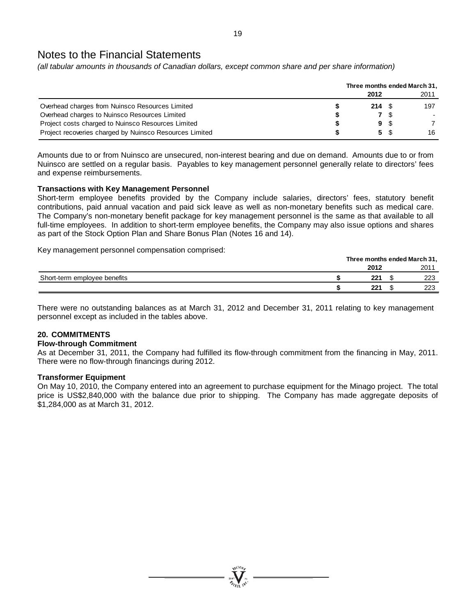*(all tabular amounts in thousands of Canadian dollars, except common share and per share information)*

|                                                         | Three months ended March 31, |             |      |
|---------------------------------------------------------|------------------------------|-------------|------|
|                                                         | 2012                         |             | 2011 |
| Overhead charges from Nuinsco Resources Limited         | $214 \tS$                    |             | 197  |
| Overhead charges to Nuinsco Resources Limited           |                              | <b>7</b> \$ |      |
| Project costs charged to Nuinsco Resources Limited      |                              | 9 S         |      |
| Project recoveries charged by Nuinsco Resources Limited |                              | 5 \$        | 16   |

Amounts due to or from Nuinsco are unsecured, non-interest bearing and due on demand. Amounts due to or from Nuinsco are settled on a regular basis. Payables to key management personnel generally relate to directors' fees and expense reimbursements.

# **Transactions with Key Management Personnel**

Short-term employee benefits provided by the Company include salaries, directors' fees, statutory benefit contributions, paid annual vacation and paid sick leave as well as non-monetary benefits such as medical care. The Company's non-monetary benefit package for key management personnel is the same as that available to all full-time employees. In addition to short-term employee benefits, the Company may also issue options and shares as part of the Stock Option Plan and Share Bonus Plan (Notes 16 and 14).

Key management personnel compensation comprised:

|                              | Three months ended March 31, |  |      |  |
|------------------------------|------------------------------|--|------|--|
|                              | 2012                         |  | 2011 |  |
| Short-term employee benefits | つつイ                          |  | າາາ  |  |
|                              | つつイ                          |  | ∩ר   |  |

There were no outstanding balances as at March 31, 2012 and December 31, 2011 relating to key management personnel except as included in the tables above.

# **20. COMMITMENTS**

### **Flow-through Commitment**

As at December 31, 2011, the Company had fulfilled its flow-through commitment from the financing in May, 2011. There were no flow-through financings during 2012.

### **Transformer Equipment**

On May 10, 2010, the Company entered into an agreement to purchase equipment for the Minago project. The total price is US\$2,840,000 with the balance due prior to shipping. The Company has made aggregate deposits of \$1,284,000 as at March 31, 2012.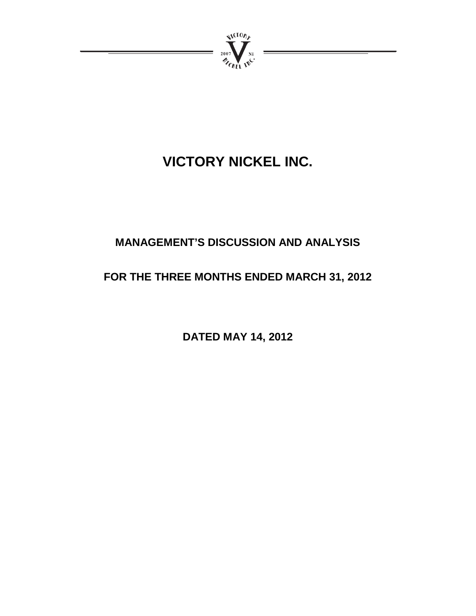

# **VICTORY NICKEL INC.**

# **MANAGEMENT'S DISCUSSION AND ANALYSIS**

# **FOR THE THREE MONTHS ENDED MARCH 31, 2012**

**DATED MAY 14, 2012**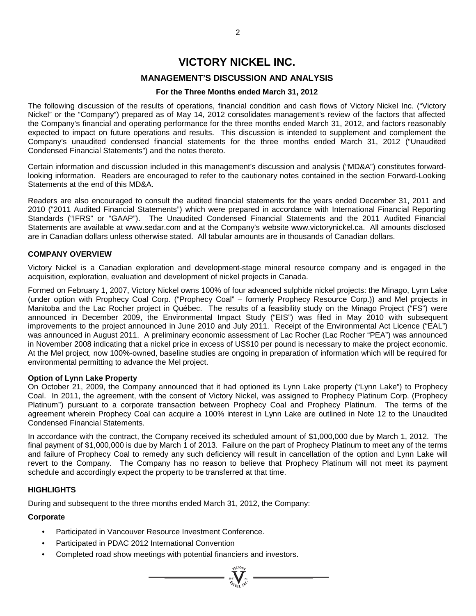# **VICTORY NICKEL INC.**

# **MANAGEMENT'S DISCUSSION AND ANALYSIS**

### **For the Three Months ended March 31, 2012**

The following discussion of the results of operations, financial condition and cash flows of Victory Nickel Inc. ("Victory Nickel" or the "Company") prepared as of May 14, 2012 consolidates management's review of the factors that affected the Company's financial and operating performance for the three months ended March 31, 2012, and factors reasonably expected to impact on future operations and results. This discussion is intended to supplement and complement the Company's unaudited condensed financial statements for the three months ended March 31, 2012 ("Unaudited Condensed Financial Statements") and the notes thereto.

Certain information and discussion included in this management's discussion and analysis ("MD&A") constitutes forwardlooking information. Readers are encouraged to refer to the cautionary notes contained in the section Forward-Looking Statements at the end of this MD&A.

Readers are also encouraged to consult the audited financial statements for the years ended December 31, 2011 and 2010 ("2011 Audited Financial Statements") which were prepared in accordance with International Financial Reporting Standards ("IFRS" or "GAAP"). The Unaudited Condensed Financial Statements and the 2011 Audited Financial Statements are available at www.sedar.com and at the Company's website www.victorynickel.ca. All amounts disclosed are in Canadian dollars unless otherwise stated. All tabular amounts are in thousands of Canadian dollars.

# **COMPANY OVERVIEW**

Victory Nickel is a Canadian exploration and development-stage mineral resource company and is engaged in the acquisition, exploration, evaluation and development of nickel projects in Canada.

Formed on February 1, 2007, Victory Nickel owns 100% of four advanced sulphide nickel projects: the Minago, Lynn Lake (under option with Prophecy Coal Corp. ("Prophecy Coal" – formerly Prophecy Resource Corp.)) and Mel projects in Manitoba and the Lac Rocher project in Québec. The results of a feasibility study on the Minago Project ("FS") were announced in December 2009, the Environmental Impact Study ("EIS") was filed in May 2010 with subsequent improvements to the project announced in June 2010 and July 2011. Receipt of the Environmental Act Licence ("EAL") was announced in August 2011. A preliminary economic assessment of Lac Rocher (Lac Rocher "PEA") was announced in November 2008 indicating that a nickel price in excess of US\$10 per pound is necessary to make the project economic. At the Mel project, now 100%-owned, baseline studies are ongoing in preparation of information which will be required for environmental permitting to advance the Mel project.

### **Option of Lynn Lake Property**

On October 21, 2009, the Company announced that it had optioned its Lynn Lake property ("Lynn Lake") to Prophecy Coal. In 2011, the agreement, with the consent of Victory Nickel, was assigned to Prophecy Platinum Corp. (Prophecy Platinum") pursuant to a corporate transaction between Prophecy Coal and Prophecy Platinum. The terms of the agreement wherein Prophecy Coal can acquire a 100% interest in Lynn Lake are outlined in Note 12 to the Unaudited Condensed Financial Statements.

In accordance with the contract, the Company received its scheduled amount of \$1,000,000 due by March 1, 2012. The final payment of \$1,000,000 is due by March 1 of 2013. Failure on the part of Prophecy Platinum to meet any of the terms and failure of Prophecy Coal to remedy any such deficiency will result in cancellation of the option and Lynn Lake will revert to the Company. The Company has no reason to believe that Prophecy Platinum will not meet its payment schedule and accordingly expect the property to be transferred at that time.

 $\sum_{j=1}^{N_{\text{V}}(10\mu)}$ 

### **HIGHLIGHTS**

During and subsequent to the three months ended March 31, 2012, the Company:

# **Corporate**

- Participated in Vancouver Resource Investment Conference.
- Participated in PDAC 2012 International Convention
- Completed road show meetings with potential financiers and investors.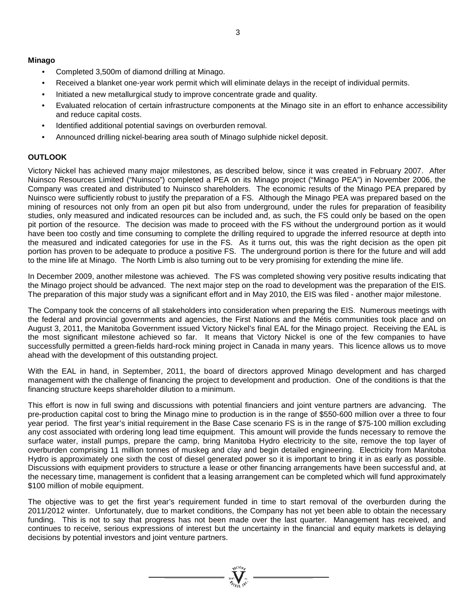# **Minago**

- Completed 3,500m of diamond drilling at Minago.
- Received a blanket one-year work permit which will eliminate delays in the receipt of individual permits.
- Initiated a new metallurgical study to improve concentrate grade and quality.
- Evaluated relocation of certain infrastructure components at the Minago site in an effort to enhance accessibility and reduce capital costs.
- Identified additional potential savings on overburden removal.
- Announced drilling nickel-bearing area south of Minago sulphide nickel deposit.

# **OUTLOOK**

Victory Nickel has achieved many major milestones, as described below, since it was created in February 2007. After Nuinsco Resources Limited ("Nuinsco") completed a PEA on its Minago project ("Minago PEA") in November 2006, the Company was created and distributed to Nuinsco shareholders. The economic results of the Minago PEA prepared by Nuinsco were sufficiently robust to justify the preparation of a FS. Although the Minago PEA was prepared based on the mining of resources not only from an open pit but also from underground, under the rules for preparation of feasibility studies, only measured and indicated resources can be included and, as such, the FS could only be based on the open pit portion of the resource. The decision was made to proceed with the FS without the underground portion as it would have been too costly and time consuming to complete the drilling required to upgrade the inferred resource at depth into the measured and indicated categories for use in the FS. As it turns out, this was the right decision as the open pit portion has proven to be adequate to produce a positive FS. The underground portion is there for the future and will add to the mine life at Minago. The North Limb is also turning out to be very promising for extending the mine life.

In December 2009, another milestone was achieved. The FS was completed showing very positive results indicating that the Minago project should be advanced. The next major step on the road to development was the preparation of the EIS. The preparation of this major study was a significant effort and in May 2010, the EIS was filed - another major milestone.

The Company took the concerns of all stakeholders into consideration when preparing the EIS. Numerous meetings with the federal and provincial governments and agencies, the First Nations and the Métis communities took place and on August 3, 2011, the Manitoba Government issued Victory Nickel's final EAL for the Minago project. Receiving the EAL is the most significant milestone achieved so far. It means that Victory Nickel is one of the few companies to have successfully permitted a green-fields hard-rock mining project in Canada in many years. This licence allows us to move ahead with the development of this outstanding project.

With the EAL in hand, in September, 2011, the board of directors approved Minago development and has charged management with the challenge of financing the project to development and production. One of the conditions is that the financing structure keeps shareholder dilution to a minimum.

This effort is now in full swing and discussions with potential financiers and joint venture partners are advancing. The pre-production capital cost to bring the Minago mine to production is in the range of \$550-600 million over a three to four year period. The first year's initial requirement in the Base Case scenario FS is in the range of \$75-100 million excluding any cost associated with ordering long lead time equipment. This amount will provide the funds necessary to remove the surface water, install pumps, prepare the camp, bring Manitoba Hydro electricity to the site, remove the top layer of overburden comprising 11 million tonnes of muskeg and clay and begin detailed engineering. Electricity from Manitoba Hydro is approximately one sixth the cost of diesel generated power so it is important to bring it in as early as possible. Discussions with equipment providers to structure a lease or other financing arrangements have been successful and, at the necessary time, management is confident that a leasing arrangement can be completed which will fund approximately \$100 million of mobile equipment.

The objective was to get the first year's requirement funded in time to start removal of the overburden during the 2011/2012 winter. Unfortunately, due to market conditions, the Company has not yet been able to obtain the necessary funding. This is not to say that progress has not been made over the last quarter. Management has received, and continues to receive, serious expressions of interest but the uncertainty in the financial and equity markets is delaying decisions by potential investors and joint venture partners.

 $\sum_{\substack{\mathbf{y} \in \mathcal{W} \\ \mathbf{y} \in \mathcal{W}}} \sum_{\substack{\mathbf{y} \in \mathcal{W} \\ \mathbf{y} \in \mathcal{W}}} \mathbf{y} =$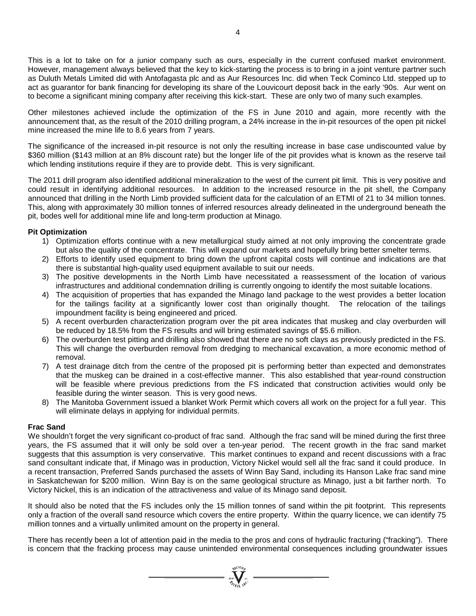This is a lot to take on for a junior company such as ours, especially in the current confused market environment. However, management always believed that the key to kick-starting the process is to bring in a joint venture partner such as Duluth Metals Limited did with Antofagasta plc and as Aur Resources Inc. did when Teck Cominco Ltd. stepped up to act as guarantor for bank financing for developing its share of the Louvicourt deposit back in the early '90s. Aur went on to become a significant mining company after receiving this kick-start. These are only two of many such examples.

Other milestones achieved include the optimization of the FS in June 2010 and again, more recently with the announcement that, as the result of the 2010 drilling program, a 24% increase in the in-pit resources of the open pit nickel mine increased the mine life to 8.6 years from 7 years.

The significance of the increased in-pit resource is not only the resulting increase in base case undiscounted value by \$360 million (\$143 million at an 8% discount rate) but the longer life of the pit provides what is known as the reserve tail which lending institutions require if they are to provide debt. This is very significant.

The 2011 drill program also identified additional mineralization to the west of the current pit limit. This is very positive and could result in identifying additional resources. In addition to the increased resource in the pit shell, the Company announced that drilling in the North Limb provided sufficient data for the calculation of an ETMI of 21 to 34 million tonnes. This, along with approximately 30 million tonnes of inferred resources already delineated in the underground beneath the pit, bodes well for additional mine life and long-term production at Minago.

### **Pit Optimization**

- 1) Optimization efforts continue with a new metallurgical study aimed at not only improving the concentrate grade but also the quality of the concentrate. This will expand our markets and hopefully bring better smelter terms.
- 2) Efforts to identify used equipment to bring down the upfront capital costs will continue and indications are that there is substantial high-quality used equipment available to suit our needs.
- 3) The positive developments in the North Limb have necessitated a reassessment of the location of various infrastructures and additional condemnation drilling is currently ongoing to identify the most suitable locations.
- 4) The acquisition of properties that has expanded the Minago land package to the west provides a better location for the tailings facility at a significantly lower cost than originally thought. The relocation of the tailings impoundment facility is being engineered and priced.
- 5) A recent overburden characterization program over the pit area indicates that muskeg and clay overburden will be reduced by 18.5% from the FS results and will bring estimated savings of \$5.6 million.
- 6) The overburden test pitting and drilling also showed that there are no soft clays as previously predicted in the FS. This will change the overburden removal from dredging to mechanical excavation, a more economic method of removal.
- 7) A test drainage ditch from the centre of the proposed pit is performing better than expected and demonstrates that the muskeg can be drained in a cost-effective manner. This also established that year-round construction will be feasible where previous predictions from the FS indicated that construction activities would only be feasible during the winter season. This is very good news.
- 8) The Manitoba Government issued a blanket Work Permit which covers all work on the project for a full year. This will eliminate delays in applying for individual permits.

### **Frac Sand**

We shouldn't forget the very significant co-product of frac sand. Although the frac sand will be mined during the first three years, the FS assumed that it will only be sold over a ten-year period. The recent growth in the frac sand market suggests that this assumption is very conservative. This market continues to expand and recent discussions with a frac sand consultant indicate that, if Minago was in production, Victory Nickel would sell all the frac sand it could produce. In a recent transaction, Preferred Sands purchased the assets of Winn Bay Sand, including its Hanson Lake frac sand mine in Saskatchewan for \$200 million. Winn Bay is on the same geological structure as Minago, just a bit farther north. To Victory Nickel, this is an indication of the attractiveness and value of its Minago sand deposit.

It should also be noted that the FS includes only the 15 million tonnes of sand within the pit footprint. This represents only a fraction of the overall sand resource which covers the entire property. Within the quarry licence, we can identify 75 million tonnes and a virtually unlimited amount on the property in general.

There has recently been a lot of attention paid in the media to the pros and cons of hydraulic fracturing ("fracking"). There is concern that the fracking process may cause unintended environmental consequences including groundwater issues

 $\sum_{\substack{\text{test} \\ \text{test}}} \sum_{\substack{\text{set} \\ \text{test}}} \sum_{\substack{\text{set} \\ \text{set}}}$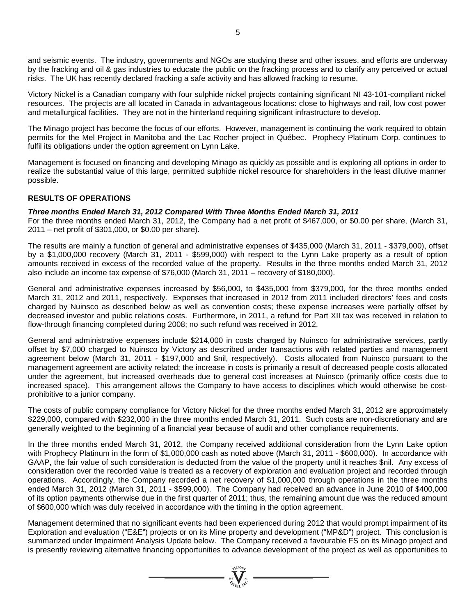and seismic events. The industry, governments and NGOs are studying these and other issues, and efforts are underway by the fracking and oil & gas industries to educate the public on the fracking process and to clarify any perceived or actual risks. The UK has recently declared fracking a safe activity and has allowed fracking to resume.

Victory Nickel is a Canadian company with four sulphide nickel projects containing significant NI 43-101-compliant nickel resources. The projects are all located in Canada in advantageous locations: close to highways and rail, low cost power and metallurgical facilities. They are not in the hinterland requiring significant infrastructure to develop.

The Minago project has become the focus of our efforts. However, management is continuing the work required to obtain permits for the Mel Project in Manitoba and the Lac Rocher project in Québec. Prophecy Platinum Corp. continues to fulfil its obligations under the option agreement on Lynn Lake.

Management is focused on financing and developing Minago as quickly as possible and is exploring all options in order to realize the substantial value of this large, permitted sulphide nickel resource for shareholders in the least dilutive manner possible.

# **RESULTS OF OPERATIONS**

# *Three months Ended March 31, 2012 Compared With Three Months Ended March 31, 2011*

For the three months ended March 31, 2012, the Company had a net profit of \$467,000, or \$0.00 per share, (March 31, 2011 – net profit of \$301,000, or \$0.00 per share).

The results are mainly a function of general and administrative expenses of \$435,000 (March 31, 2011 - \$379,000), offset by a \$1,000,000 recovery (March 31, 2011 - \$599,000) with respect to the Lynn Lake property as a result of option amounts received in excess of the recorded value of the property. Results in the three months ended March 31, 2012 also include an income tax expense of \$76,000 (March 31, 2011 – recovery of \$180,000).

General and administrative expenses increased by \$56,000, to \$435,000 from \$379,000, for the three months ended March 31, 2012 and 2011, respectively. Expenses that increased in 2012 from 2011 included directors' fees and costs charged by Nuinsco as described below as well as convention costs; these expense increases were partially offset by decreased investor and public relations costs. Furthermore, in 2011, a refund for Part XII tax was received in relation to flow-through financing completed during 2008; no such refund was received in 2012.

General and administrative expenses include \$214,000 in costs charged by Nuinsco for administrative services, partly offset by \$7,000 charged to Nuinsco by Victory as described under transactions with related parties and management agreement below (March 31, 2011 - \$197,000 and \$nil, respectively). Costs allocated from Nuinsco pursuant to the management agreement are activity related; the increase in costs is primarily a result of decreased people costs allocated under the agreement, but increased overheads due to general cost increases at Nuinsco (primarily office costs due to increased space). This arrangement allows the Company to have access to disciplines which would otherwise be costprohibitive to a junior company.

The costs of public company compliance for Victory Nickel for the three months ended March 31, 2012 are approximately \$229,000, compared with \$232,000 in the three months ended March 31, 2011. Such costs are non-discretionary and are generally weighted to the beginning of a financial year because of audit and other compliance requirements.

In the three months ended March 31, 2012, the Company received additional consideration from the Lynn Lake option with Prophecy Platinum in the form of \$1,000,000 cash as noted above (March 31, 2011 - \$600,000). In accordance with GAAP, the fair value of such consideration is deducted from the value of the property until it reaches \$nil. Any excess of consideration over the recorded value is treated as a recovery of exploration and evaluation project and recorded through operations. Accordingly, the Company recorded a net recovery of \$1,000,000 through operations in the three months ended March 31, 2012 (March 31, 2011 - \$599,000). The Company had received an advance in June 2010 of \$400,000 of its option payments otherwise due in the first quarter of 2011; thus, the remaining amount due was the reduced amount of \$600,000 which was duly received in accordance with the timing in the option agreement.

Management determined that no significant events had been experienced during 2012 that would prompt impairment of its Exploration and evaluation ("E&E") projects or on its Mine property and development ("MP&D") project. This conclusion is summarized under Impairment Analysis Update below. The Company received a favourable FS on its Minago project and is presently reviewing alternative financing opportunities to advance development of the project as well as opportunities to

 $\sum_{\substack{u \in \mathcal{U}^{(0)} \cup \mathcal{U}^{(1)} \\ \text{and } \text{ } u \in \mathcal{U}^{(1)} }} \mathcal{L}^{(1)}_{\text{in}} =$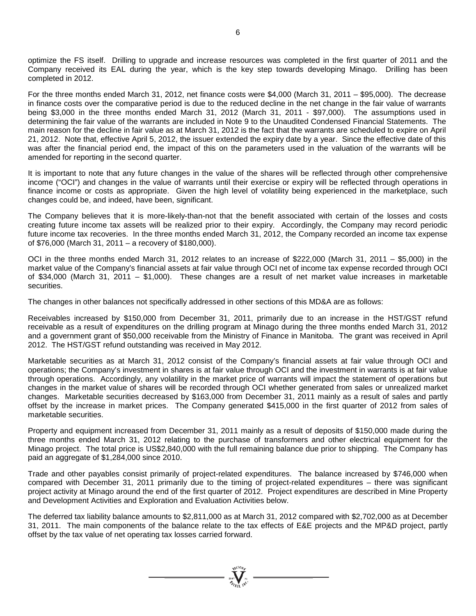optimize the FS itself. Drilling to upgrade and increase resources was completed in the first quarter of 2011 and the Company received its EAL during the year, which is the key step towards developing Minago. Drilling has been completed in 2012.

For the three months ended March 31, 2012, net finance costs were \$4,000 (March 31, 2011 – \$95,000). The decrease in finance costs over the comparative period is due to the reduced decline in the net change in the fair value of warrants being \$3,000 in the three months ended March 31, 2012 (March 31, 2011 - \$97,000). The assumptions used in determining the fair value of the warrants are included in Note 9 to the Unaudited Condensed Financial Statements. The main reason for the decline in fair value as at March 31, 2012 is the fact that the warrants are scheduled to expire on April 21, 2012. Note that, effective April 5, 2012, the issuer extended the expiry date by a year. Since the effective date of this was after the financial period end, the impact of this on the parameters used in the valuation of the warrants will be amended for reporting in the second quarter.

It is important to note that any future changes in the value of the shares will be reflected through other comprehensive income ("OCI") and changes in the value of warrants until their exercise or expiry will be reflected through operations in finance income or costs as appropriate. Given the high level of volatility being experienced in the marketplace, such changes could be, and indeed, have been, significant.

The Company believes that it is more-likely-than-not that the benefit associated with certain of the losses and costs creating future income tax assets will be realized prior to their expiry. Accordingly, the Company may record periodic future income tax recoveries. In the three months ended March 31, 2012, the Company recorded an income tax expense of \$76,000 (March 31, 2011 – a recovery of \$180,000).

OCI in the three months ended March 31, 2012 relates to an increase of \$222,000 (March 31, 2011 – \$5,000) in the market value of the Company's financial assets at fair value through OCI net of income tax expense recorded through OCI of \$34,000 (March 31, 2011 – \$1,000). These changes are a result of net market value increases in marketable securities.

The changes in other balances not specifically addressed in other sections of this MD&A are as follows:

Receivables increased by \$150,000 from December 31, 2011, primarily due to an increase in the HST/GST refund receivable as a result of expenditures on the drilling program at Minago during the three months ended March 31, 2012 and a government grant of \$50,000 receivable from the Ministry of Finance in Manitoba. The grant was received in April 2012. The HST/GST refund outstanding was received in May 2012.

Marketable securities as at March 31, 2012 consist of the Company's financial assets at fair value through OCI and operations; the Company's investment in shares is at fair value through OCI and the investment in warrants is at fair value through operations. Accordingly, any volatility in the market price of warrants will impact the statement of operations but changes in the market value of shares will be recorded through OCI whether generated from sales or unrealized market changes. Marketable securities decreased by \$163,000 from December 31, 2011 mainly as a result of sales and partly offset by the increase in market prices. The Company generated \$415,000 in the first quarter of 2012 from sales of marketable securities.

Property and equipment increased from December 31, 2011 mainly as a result of deposits of \$150,000 made during the three months ended March 31, 2012 relating to the purchase of transformers and other electrical equipment for the Minago project. The total price is US\$2,840,000 with the full remaining balance due prior to shipping. The Company has paid an aggregate of \$1,284,000 since 2010.

Trade and other payables consist primarily of project-related expenditures. The balance increased by \$746,000 when compared with December 31, 2011 primarily due to the timing of project-related expenditures – there was significant project activity at Minago around the end of the first quarter of 2012. Project expenditures are described in Mine Property and Development Activities and Exploration and Evaluation Activities below.

The deferred tax liability balance amounts to \$2,811,000 as at March 31, 2012 compared with \$2,702,000 as at December 31, 2011. The main components of the balance relate to the tax effects of E&E projects and the MP&D project, partly offset by the tax value of net operating tax losses carried forward.

 $\sum_{n=1}^{\infty}$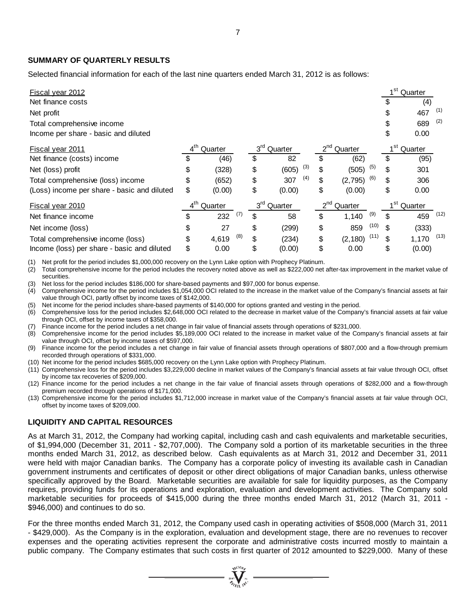# **SUMMARY OF QUARTERLY RESULTS**

Selected financial information for each of the last nine quarters ended March 31, 2012 is as follows:

| Fiscal year 2012                            |                            |              |                            |              |                     |          |      |                            | 1 <sup>st</sup> Quarter |      |
|---------------------------------------------|----------------------------|--------------|----------------------------|--------------|---------------------|----------|------|----------------------------|-------------------------|------|
| Net finance costs                           |                            |              |                            |              |                     |          |      | \$                         | (4)                     |      |
| Net profit                                  |                            |              |                            |              |                     |          |      | \$                         | 467                     | (1)  |
| Total comprehensive income                  |                            |              |                            |              |                     |          |      | \$                         | 689                     | (2)  |
| Income per share - basic and diluted        |                            |              |                            |              |                     |          |      | \$                         | 0.00                    |      |
| Fiscal year 2011                            | 4 <sup>th</sup><br>Quarter |              | 3 <sup>rd</sup><br>Quarter |              | $2^{nd}$<br>Quarter |          |      | 1 <sup>st</sup><br>Quarter |                         |      |
| Net finance (costs) income                  | \$                         | (46)         | \$                         | 82           | \$                  | (62)     |      | \$                         | (95)                    |      |
| Net (loss) profit                           | \$                         | (328)        | \$                         | (3)<br>(605) | \$                  | (505)    | (5)  | \$                         | 301                     |      |
| Total comprehensive (loss) income           | \$                         | (652)        | \$                         | (4)<br>307   | \$                  | (2,795)  | (6)  | \$                         | 306                     |      |
| (Loss) income per share - basic and diluted | \$                         | (0.00)       | \$                         | (0.00)       | \$                  | (0.00)   |      | \$                         | 0.00                    |      |
| Fiscal year 2010                            | 4 <sup>th</sup>            | Quarter      | 3 <sup>rd</sup>            | Quarter      | $2^{nd}$            | Quarter  |      | 1 <sup>st</sup>            | Quarter                 |      |
| Net finance income                          | \$                         | (7)<br>232   | \$                         | 58           | \$                  | 1,140    | (9)  | \$                         | 459                     | (12) |
| Net income (loss)                           | \$                         | 27           | \$                         | (299)        | \$                  | 859      | (10) | \$                         | (333)                   |      |
| Total comprehensive income (loss)           | \$                         | (8)<br>4,619 | \$                         | (234)        | \$                  | (2, 180) | (11) |                            | 1,170                   | (13) |
| Income (loss) per share - basic and diluted | \$                         | 0.00         | \$                         | (0.00)       | \$                  | 0.00     |      | \$                         | (0.00)                  |      |
|                                             |                            |              |                            |              |                     |          |      |                            |                         |      |

(1) Net profit for the period includes \$1,000,000 recovery on the Lynn Lake option with Prophecy Platinum.

 $(2)$  Total comprehensive income for the period includes the recovery noted above as well as \$222,000 net after-tax improvement in the market value of securities.

(3) Net loss for the period includes \$186,000 for share-based payments and \$97,000 for bonus expense.

(4) Comprehensive income for the period includes \$1,054,000 OCI related to the increase in the market value of the Company's financial assets at fair value through OCI, partly offset by income taxes of \$142,000.

(5) Net income for the period includes share-based payments of \$140,000 for options granted and vesting in the period.

(6) Comprehensive loss for the period includes \$2,648,000 OCI related to the decrease in market value of the Company's financial assets at fair value through OCI, offset by income taxes of \$358,000.

(7) Finance income for the period includes a net change in fair value of financial assets through operations of \$231,000.

(8) Comprehensive income for the period includes \$5,189,000 OCI related to the increase in market value of the Company's financial assets at fair value through OCI, offset by income taxes of \$597,000.

(9) Finance income for the period includes a net change in fair value of financial assets through operations of \$807,000 and a flow-through premium recorded through operations of \$331,000.

(10) Net income for the period includes \$685,000 recovery on the Lynn Lake option with Prophecy Platinum.

(11) Comprehensive loss for the period includes \$3,229,000 decline in market values of the Company's financial assets at fair value through OCI, offset by income tax recoveries of \$209,000.

(12) Finance income for the period includes a net change in the fair value of financial assets through operations of \$282,000 and a flow-through premium recorded through operations of \$171,000.

(13) Comprehensive income for the period includes \$1,712,000 increase in market value of the Company's financial assets at fair value through OCI, offset by income taxes of \$209,000.

### **LIQUIDITY AND CAPITAL RESOURCES**

As at March 31, 2012, the Company had working capital, including cash and cash equivalents and marketable securities, of \$1,994,000 (December 31, 2011 - \$2,707,000). The Company sold a portion of its marketable securities in the three months ended March 31, 2012, as described below. Cash equivalents as at March 31, 2012 and December 31, 2011 were held with major Canadian banks. The Company has a corporate policy of investing its available cash in Canadian government instruments and certificates of deposit or other direct obligations of major Canadian banks, unless otherwise specifically approved by the Board. Marketable securities are available for sale for liquidity purposes, as the Company requires, providing funds for its operations and exploration, evaluation and development activities. The Company sold marketable securities for proceeds of \$415,000 during the three months ended March 31, 2012 (March 31, 2011 - \$946,000) and continues to do so.

For the three months ended March 31, 2012, the Company used cash in operating activities of \$508,000 (March 31, 2011 - \$429,000). As the Company is in the exploration, evaluation and development stage, there are no revenues to recover expenses and the operating activities represent the corporate and administrative costs incurred mostly to maintain a public company. The Company estimates that such costs in first quarter of 2012 amounted to \$229,000. Many of these

 $\sum_{\alpha}^{N^{(10)}\rho}$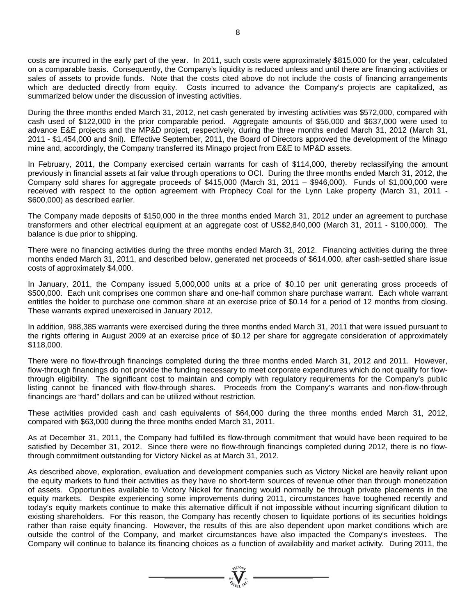costs are incurred in the early part of the year. In 2011, such costs were approximately \$815,000 for the year, calculated on a comparable basis. Consequently, the Company's liquidity is reduced unless and until there are financing activities or sales of assets to provide funds. Note that the costs cited above do not include the costs of financing arrangements which are deducted directly from equity. Costs incurred to advance the Company's projects are capitalized, as summarized below under the discussion of investing activities.

During the three months ended March 31, 2012, net cash generated by investing activities was \$572,000, compared with cash used of \$122,000 in the prior comparable period. Aggregate amounts of \$56,000 and \$637,000 were used to advance E&E projects and the MP&D project, respectively, during the three months ended March 31, 2012 (March 31, 2011 - \$1,454,000 and \$nil). Effective September, 2011, the Board of Directors approved the development of the Minago mine and, accordingly, the Company transferred its Minago project from E&E to MP&D assets.

In February, 2011, the Company exercised certain warrants for cash of \$114,000, thereby reclassifying the amount previously in financial assets at fair value through operations to OCI. During the three months ended March 31, 2012, the Company sold shares for aggregate proceeds of \$415,000 (March 31, 2011 – \$946,000). Funds of \$1,000,000 were received with respect to the option agreement with Prophecy Coal for the Lynn Lake property (March 31, 2011 - \$600,000) as described earlier.

The Company made deposits of \$150,000 in the three months ended March 31, 2012 under an agreement to purchase transformers and other electrical equipment at an aggregate cost of US\$2,840,000 (March 31, 2011 - \$100,000). The balance is due prior to shipping.

There were no financing activities during the three months ended March 31, 2012. Financing activities during the three months ended March 31, 2011, and described below, generated net proceeds of \$614,000, after cash-settled share issue costs of approximately \$4,000.

In January, 2011, the Company issued 5,000,000 units at a price of \$0.10 per unit generating gross proceeds of \$500,000. Each unit comprises one common share and one-half common share purchase warrant. Each whole warrant entitles the holder to purchase one common share at an exercise price of \$0.14 for a period of 12 months from closing. These warrants expired unexercised in January 2012.

In addition, 988,385 warrants were exercised during the three months ended March 31, 2011 that were issued pursuant to the rights offering in August 2009 at an exercise price of \$0.12 per share for aggregate consideration of approximately \$118,000.

There were no flow-through financings completed during the three months ended March 31, 2012 and 2011. However, flow-through financings do not provide the funding necessary to meet corporate expenditures which do not qualify for flowthrough eligibility. The significant cost to maintain and comply with regulatory requirements for the Company's public listing cannot be financed with flow-through shares. Proceeds from the Company's warrants and non-flow-through financings are "hard" dollars and can be utilized without restriction.

These activities provided cash and cash equivalents of \$64,000 during the three months ended March 31, 2012, compared with \$63,000 during the three months ended March 31, 2011.

As at December 31, 2011, the Company had fulfilled its flow-through commitment that would have been required to be satisfied by December 31, 2012. Since there were no flow-through financings completed during 2012, there is no flowthrough commitment outstanding for Victory Nickel as at March 31, 2012.

As described above, exploration, evaluation and development companies such as Victory Nickel are heavily reliant upon the equity markets to fund their activities as they have no short-term sources of revenue other than through monetization of assets. Opportunities available to Victory Nickel for financing would normally be through private placements in the equity markets. Despite experiencing some improvements during 2011, circumstances have toughened recently and today's equity markets continue to make this alternative difficult if not impossible without incurring significant dilution to existing shareholders. For this reason, the Company has recently chosen to liquidate portions of its securities holdings rather than raise equity financing. However, the results of this are also dependent upon market conditions which are outside the control of the Company, and market circumstances have also impacted the Company's investees. The Company will continue to balance its financing choices as a function of availability and market activity. During 2011, the

 $\sum_{\substack{i=1\\i\neq j}}^{q\sqrt{100}n_{j}}$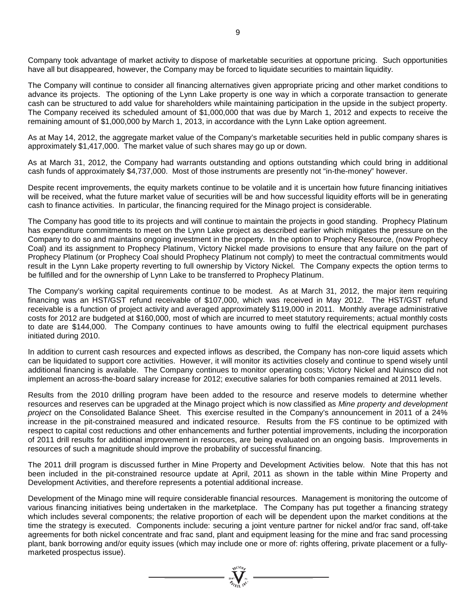Company took advantage of market activity to dispose of marketable securities at opportune pricing. Such opportunities have all but disappeared, however, the Company may be forced to liquidate securities to maintain liquidity.

The Company will continue to consider all financing alternatives given appropriate pricing and other market conditions to advance its projects. The optioning of the Lynn Lake property is one way in which a corporate transaction to generate cash can be structured to add value for shareholders while maintaining participation in the upside in the subject property. The Company received its scheduled amount of \$1,000,000 that was due by March 1, 2012 and expects to receive the remaining amount of \$1,000,000 by March 1, 2013, in accordance with the Lynn Lake option agreement.

As at May 14, 2012, the aggregate market value of the Company's marketable securities held in public company shares is approximately \$1,417,000. The market value of such shares may go up or down.

As at March 31, 2012, the Company had warrants outstanding and options outstanding which could bring in additional cash funds of approximately \$4,737,000. Most of those instruments are presently not "in-the-money" however.

Despite recent improvements, the equity markets continue to be volatile and it is uncertain how future financing initiatives will be received, what the future market value of securities will be and how successful liquidity efforts will be in generating cash to finance activities. In particular, the financing required for the Minago project is considerable.

The Company has good title to its projects and will continue to maintain the projects in good standing. Prophecy Platinum has expenditure commitments to meet on the Lynn Lake project as described earlier which mitigates the pressure on the Company to do so and maintains ongoing investment in the property. In the option to Prophecy Resource, (now Prophecy Coal) and its assignment to Prophecy Platinum, Victory Nickel made provisions to ensure that any failure on the part of Prophecy Platinum (or Prophecy Coal should Prophecy Platinum not comply) to meet the contractual commitments would result in the Lynn Lake property reverting to full ownership by Victory Nickel. The Company expects the option terms to be fulfilled and for the ownership of Lynn Lake to be transferred to Prophecy Platinum.

The Company's working capital requirements continue to be modest. As at March 31, 2012, the major item requiring financing was an HST/GST refund receivable of \$107,000, which was received in May 2012. The HST/GST refund receivable is a function of project activity and averaged approximately \$119,000 in 2011. Monthly average administrative costs for 2012 are budgeted at \$160,000, most of which are incurred to meet statutory requirements; actual monthly costs to date are \$144,000. The Company continues to have amounts owing to fulfil the electrical equipment purchases initiated during 2010.

In addition to current cash resources and expected inflows as described, the Company has non-core liquid assets which can be liquidated to support core activities. However, it will monitor its activities closely and continue to spend wisely until additional financing is available. The Company continues to monitor operating costs; Victory Nickel and Nuinsco did not implement an across-the-board salary increase for 2012; executive salaries for both companies remained at 2011 levels.

Results from the 2010 drilling program have been added to the resource and reserve models to determine whether resources and reserves can be upgraded at the Minago project which is now classified as *Mine property and development project* on the Consolidated Balance Sheet. This exercise resulted in the Company's announcement in 2011 of a 24% increase in the pit-constrained measured and indicated resource. Results from the FS continue to be optimized with respect to capital cost reductions and other enhancements and further potential improvements, including the incorporation of 2011 drill results for additional improvement in resources, are being evaluated on an ongoing basis. Improvements in resources of such a magnitude should improve the probability of successful financing.

The 2011 drill program is discussed further in Mine Property and Development Activities below. Note that this has not been included in the pit-constrained resource update at April, 2011 as shown in the table within Mine Property and Development Activities, and therefore represents a potential additional increase.

Development of the Minago mine will require considerable financial resources. Management is monitoring the outcome of various financing initiatives being undertaken in the marketplace. The Company has put together a financing strategy which includes several components; the relative proportion of each will be dependent upon the market conditions at the time the strategy is executed. Components include: securing a joint venture partner for nickel and/or frac sand, off-take agreements for both nickel concentrate and frac sand, plant and equipment leasing for the mine and frac sand processing plant, bank borrowing and/or equity issues (which may include one or more of: rights offering, private placement or a fullymarketed prospectus issue).

 $\sum_{n=1}^{\infty} \sum_{n=1}^{\infty}$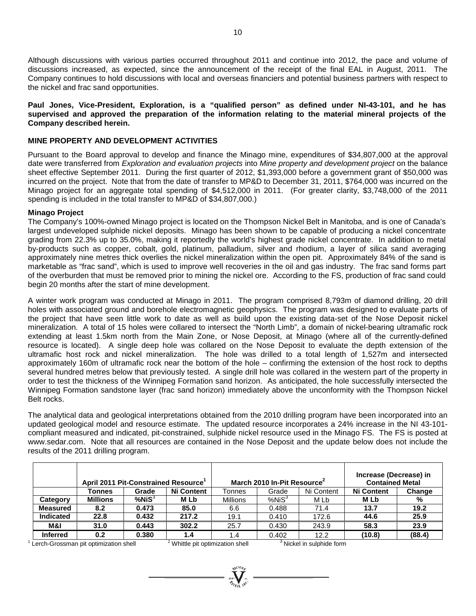Although discussions with various parties occurred throughout 2011 and continue into 2012, the pace and volume of discussions increased, as expected, since the announcement of the receipt of the final EAL in August, 2011. The Company continues to hold discussions with local and overseas financiers and potential business partners with respect to the nickel and frac sand opportunities.

# **Paul Jones, Vice-President, Exploration, is a "qualified person" as defined under NI-43-101, and he has supervised and approved the preparation of the information relating to the material mineral projects of the Company described herein.**

# **MINE PROPERTY AND DEVELOPMENT ACTIVITIES**

Pursuant to the Board approval to develop and finance the Minago mine, expenditures of \$34,807,000 at the approval date were transferred from *Exploration and evaluation projects* into *Mine property and development project* on the balance sheet effective September 2011. During the first quarter of 2012, \$1,393,000 before a government grant of \$50,000 was incurred on the project. Note that from the date of transfer to MP&D to December 31, 2011, \$764,000 was incurred on the Minago project for an aggregate total spending of \$4,512,000 in 2011. (For greater clarity, \$3,748,000 of the 2011 spending is included in the total transfer to MP&D of \$34,807,000.)

### **Minago Project**

The Company's 100%-owned Minago project is located on the Thompson Nickel Belt in Manitoba, and is one of Canada's largest undeveloped sulphide nickel deposits. Minago has been shown to be capable of producing a nickel concentrate grading from 22.3% up to 35.0%, making it reportedly the world's highest grade nickel concentrate. In addition to metal by-products such as copper, cobalt, gold, platinum, palladium, silver and rhodium, a layer of silica sand averaging approximately nine metres thick overlies the nickel mineralization within the open pit. Approximately 84% of the sand is marketable as "frac sand", which is used to improve well recoveries in the oil and gas industry. The frac sand forms part of the overburden that must be removed prior to mining the nickel ore. According to the FS, production of frac sand could begin 20 months after the start of mine development.

A winter work program was conducted at Minago in 2011. The program comprised 8,793m of diamond drilling, 20 drill holes with associated ground and borehole electromagnetic geophysics. The program was designed to evaluate parts of the project that have seen little work to date as well as build upon the existing data-set of the Nose Deposit nickel mineralization. A total of 15 holes were collared to intersect the "North Limb", a domain of nickel-bearing ultramafic rock extending at least 1.5km north from the Main Zone, or Nose Deposit, at Minago (where all of the currently-defined resource is located). A single deep hole was collared on the Nose Deposit to evaluate the depth extension of the ultramafic host rock and nickel mineralization. The hole was drilled to a total length of 1,527m and intersected approximately 160m of ultramafic rock near the bottom of the hole – confirming the extension of the host rock to depths several hundred metres below that previously tested. A single drill hole was collared in the western part of the property in order to test the thickness of the Winnipeg Formation sand horizon. As anticipated, the hole successfully intersected the Winnipeg Formation sandstone layer (frac sand horizon) immediately above the unconformity with the Thompson Nickel Belt rocks.

The analytical data and geological interpretations obtained from the 2010 drilling program have been incorporated into an updated geological model and resource estimate. The updated resource incorporates a 24% increase in the NI 43-101 compliant measured and indicated, pit-constrained, sulphide nickel resource used in the Minago FS. The FS is posted at [www.sedar.com.](http://www.sedar.com/) Note that all resources are contained in the Nose Deposit and the update below does not include the results of the 2011 drilling program.

|                  |                 | April 2011 Pit-Constrained Resource' |                   |                 | March 2010 In-Pit Resource |            | Increase (Decrease) in<br><b>Contained Metal</b> |        |
|------------------|-----------------|--------------------------------------|-------------------|-----------------|----------------------------|------------|--------------------------------------------------|--------|
|                  | Tonnes          | Grade                                | <b>Ni Content</b> | <b>Tonnes</b>   | Grade                      | Ni Content | <b>Ni Content</b>                                | Change |
| Category         | <b>Millions</b> | %NiS <sup>3</sup>                    | M Lb              | <b>Millions</b> | %NiS <sup>3</sup>          | M Lb       | M Lb                                             | %      |
| <b>Measured</b>  | 8.2             | 0.473                                | 85.0              | 6.6             | 0.488                      | 71.4       | 13.7                                             | 19.2   |
| <b>Indicated</b> | 22.8            | 0.432                                | 217.2             | 19.1            | 0.410                      | 172.6      | 44.6                                             | 25.9   |
| M&I              | 31.0            | 0.443                                | 302.2             | 25.7            | 0.430                      | 243.9      | 58.3                                             | 23.9   |
| <b>Inferred</b>  | 0.2             | 0.380                                | 1.4               | 1.4             | 0.402                      | 12.2       | (10.8)                                           | (88.4) |

<sup>1</sup> Lerch-Grossman pit optimization shell  $2^2$  Whittle pit optimization shell  $3^3$  Nickel in sulphide form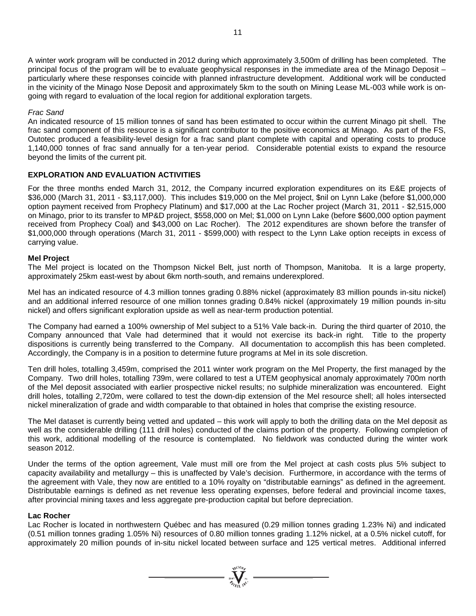A winter work program will be conducted in 2012 during which approximately 3,500m of drilling has been completed. The principal focus of the program will be to evaluate geophysical responses in the immediate area of the Minago Deposit – particularly where these responses coincide with planned infrastructure development. Additional work will be conducted in the vicinity of the Minago Nose Deposit and approximately 5km to the south on Mining Lease ML-003 while work is ongoing with regard to evaluation of the local region for additional exploration targets.

### *Frac Sand*

An indicated resource of 15 million tonnes of sand has been estimated to occur within the current Minago pit shell. The frac sand component of this resource is a significant contributor to the positive economics at Minago. As part of the FS, Outotec produced a feasibility-level design for a frac sand plant complete with capital and operating costs to produce 1,140,000 tonnes of frac sand annually for a ten-year period. Considerable potential exists to expand the resource beyond the limits of the current pit.

# **EXPLORATION AND EVALUATION ACTIVITIES**

For the three months ended March 31, 2012, the Company incurred exploration expenditures on its E&E projects of \$36,000 (March 31, 2011 - \$3,117,000). This includes \$19,000 on the Mel project, \$nil on Lynn Lake (before \$1,000,000 option payment received from Prophecy Platinum) and \$17,000 at the Lac Rocher project (March 31, 2011 - \$2,515,000 on Minago, prior to its transfer to MP&D project, \$558,000 on Mel; \$1,000 on Lynn Lake (before \$600,000 option payment received from Prophecy Coal) and \$43,000 on Lac Rocher). The 2012 expenditures are shown before the transfer of \$1,000,000 through operations (March 31, 2011 - \$599,000) with respect to the Lynn Lake option receipts in excess of carrying value.

### **Mel Project**

The Mel project is located on the Thompson Nickel Belt, just north of Thompson, Manitoba. It is a large property, approximately 25km east-west by about 6km north-south, and remains underexplored.

Mel has an indicated resource of 4.3 million tonnes grading 0.88% nickel (approximately 83 million pounds in-situ nickel) and an additional inferred resource of one million tonnes grading 0.84% nickel (approximately 19 million pounds in-situ nickel) and offers significant exploration upside as well as near-term production potential.

The Company had earned a 100% ownership of Mel subject to a 51% Vale back-in. During the third quarter of 2010, the Company announced that Vale had determined that it would not exercise its back-in right. Title to the property dispositions is currently being transferred to the Company. All documentation to accomplish this has been completed. Accordingly, the Company is in a position to determine future programs at Mel in its sole discretion.

Ten drill holes, totalling 3,459m, comprised the 2011 winter work program on the Mel Property, the first managed by the Company. Two drill holes, totalling 739m, were collared to test a UTEM geophysical anomaly approximately 700m north of the Mel deposit associated with earlier prospective nickel results; no sulphide mineralization was encountered. Eight drill holes, totalling 2,720m, were collared to test the down-dip extension of the Mel resource shell; all holes intersected nickel mineralization of grade and width comparable to that obtained in holes that comprise the existing resource.

The Mel dataset is currently being vetted and updated – this work will apply to both the drilling data on the Mel deposit as well as the considerable drilling (111 drill holes) conducted of the claims portion of the property. Following completion of this work, additional modelling of the resource is contemplated. No fieldwork was conducted during the winter work season 2012.

Under the terms of the option agreement, Vale must mill ore from the Mel project at cash costs plus 5% subject to capacity availability and metallurgy – this is unaffected by Vale's decision. Furthermore, in accordance with the terms of the agreement with Vale, they now are entitled to a 10% royalty on "distributable earnings" as defined in the agreement. Distributable earnings is defined as net revenue less operating expenses, before federal and provincial income taxes, after provincial mining taxes and less aggregate pre-production capital but before depreciation.

#### **Lac Rocher**

Lac Rocher is located in northwestern Québec and has measured (0.29 million tonnes grading 1.23% Ni) and indicated (0.51 million tonnes grading 1.05% Ni) resources of 0.80 million tonnes grading 1.12% nickel, at a 0.5% nickel cutoff, for approximately 20 million pounds of in-situ nickel located between surface and 125 vertical metres. Additional inferred

 $\sum_{\substack{\mathbf{307\text{ }N^{(10\text{h})}\text{N}\\\mathbf{50\text{h}\cdots\text{m}^{(10\text{h})}\text{N}^{\mathbf{1}}}}}$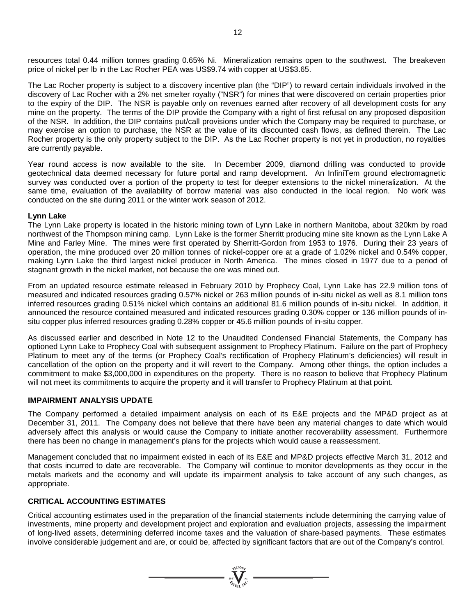resources total 0.44 million tonnes grading 0.65% Ni. Mineralization remains open to the southwest. The breakeven price of nickel per lb in the Lac Rocher PEA was US\$9.74 with copper at US\$3.65.

The Lac Rocher property is subject to a discovery incentive plan (the "DIP") to reward certain individuals involved in the discovery of Lac Rocher with a 2% net smelter royalty ("NSR") for mines that were discovered on certain properties prior to the expiry of the DIP. The NSR is payable only on revenues earned after recovery of all development costs for any mine on the property. The terms of the DIP provide the Company with a right of first refusal on any proposed disposition of the NSR. In addition, the DIP contains put/call provisions under which the Company may be required to purchase, or may exercise an option to purchase, the NSR at the value of its discounted cash flows, as defined therein. The Lac Rocher property is the only property subject to the DIP. As the Lac Rocher property is not yet in production, no royalties are currently payable.

Year round access is now available to the site. In December 2009, diamond drilling was conducted to provide geotechnical data deemed necessary for future portal and ramp development. An InfiniTem ground electromagnetic survey was conducted over a portion of the property to test for deeper extensions to the nickel mineralization. At the same time, evaluation of the availability of borrow material was also conducted in the local region. No work was conducted on the site during 2011 or the winter work season of 2012.

#### **Lynn Lake**

The Lynn Lake property is located in the historic mining town of Lynn Lake in northern Manitoba, about 320km by road northwest of the Thompson mining camp. Lynn Lake is the former Sherritt producing mine site known as the Lynn Lake A Mine and Farley Mine. The mines were first operated by Sherritt-Gordon from 1953 to 1976. During their 23 years of operation, the mine produced over 20 million tonnes of nickel-copper ore at a grade of 1.02% nickel and 0.54% copper, making Lynn Lake the third largest nickel producer in North America. The mines closed in 1977 due to a period of stagnant growth in the nickel market, not because the ore was mined out.

From an updated resource estimate released in February 2010 by Prophecy Coal, Lynn Lake has 22.9 million tons of measured and indicated resources grading 0.57% nickel or 263 million pounds of in-situ nickel as well as 8.1 million tons inferred resources grading 0.51% nickel which contains an additional 81.6 million pounds of in-situ nickel. In addition, it announced the resource contained measured and indicated resources grading 0.30% copper or 136 million pounds of insitu copper plus inferred resources grading 0.28% copper or 45.6 million pounds of in-situ copper.

As discussed earlier and described in Note 12 to the Unaudited Condensed Financial Statements, the Company has optioned Lynn Lake to Prophecy Coal with subsequent assignment to Prophecy Platinum. Failure on the part of Prophecy Platinum to meet any of the terms (or Prophecy Coal's rectification of Prophecy Platinum's deficiencies) will result in cancellation of the option on the property and it will revert to the Company. Among other things, the option includes a commitment to make \$3,000,000 in expenditures on the property. There is no reason to believe that Prophecy Platinum will not meet its commitments to acquire the property and it will transfer to Prophecy Platinum at that point.

#### **IMPAIRMENT ANALYSIS UPDATE**

The Company performed a detailed impairment analysis on each of its E&E projects and the MP&D project as at December 31, 2011. The Company does not believe that there have been any material changes to date which would adversely affect this analysis or would cause the Company to initiate another recoverability assessment. Furthermore there has been no change in management's plans for the projects which would cause a reassessment.

Management concluded that no impairment existed in each of its E&E and MP&D projects effective March 31, 2012 and that costs incurred to date are recoverable. The Company will continue to monitor developments as they occur in the metals markets and the economy and will update its impairment analysis to take account of any such changes, as appropriate.

### **CRITICAL ACCOUNTING ESTIMATES**

Critical accounting estimates used in the preparation of the financial statements include determining the carrying value of investments, mine property and development project and exploration and evaluation projects, assessing the impairment of long-lived assets, determining deferred income taxes and the valuation of share-based payments. These estimates involve considerable judgement and are, or could be, affected by significant factors that are out of the Company's control.

 $\sum_{\substack{i=1\\ i\neq j\in I}}^{\infty} \sum_{\substack{i=1\\ i\neq j}}^{\infty}$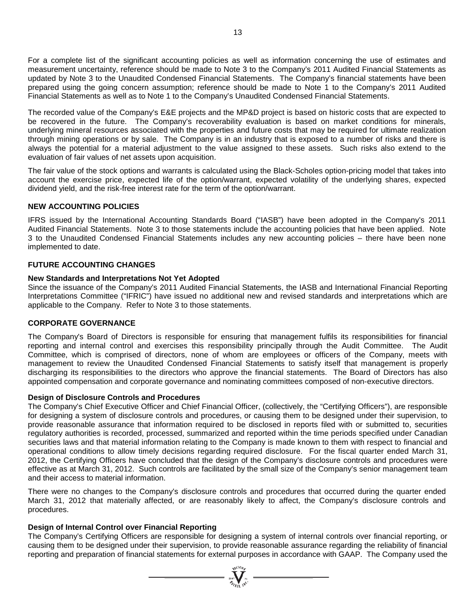For a complete list of the significant accounting policies as well as information concerning the use of estimates and measurement uncertainty, reference should be made to Note 3 to the Company's 2011 Audited Financial Statements as updated by Note 3 to the Unaudited Condensed Financial Statements. The Company's financial statements have been prepared using the going concern assumption; reference should be made to Note 1 to the Company's 2011 Audited Financial Statements as well as to Note 1 to the Company's Unaudited Condensed Financial Statements.

The recorded value of the Company's E&E projects and the MP&D project is based on historic costs that are expected to be recovered in the future. The Company's recoverability evaluation is based on market conditions for minerals, underlying mineral resources associated with the properties and future costs that may be required for ultimate realization through mining operations or by sale. The Company is in an industry that is exposed to a number of risks and there is always the potential for a material adjustment to the value assigned to these assets. Such risks also extend to the evaluation of fair values of net assets upon acquisition.

The fair value of the stock options and warrants is calculated using the Black-Scholes option-pricing model that takes into account the exercise price, expected life of the option/warrant, expected volatility of the underlying shares, expected dividend yield, and the risk-free interest rate for the term of the option/warrant.

# **NEW ACCOUNTING POLICIES**

IFRS issued by the International Accounting Standards Board ("IASB") have been adopted in the Company's 2011 Audited Financial Statements. Note 3 to those statements include the accounting policies that have been applied. Note 3 to the Unaudited Condensed Financial Statements includes any new accounting policies – there have been none implemented to date.

### **FUTURE ACCOUNTING CHANGES**

### **New Standards and Interpretations Not Yet Adopted**

Since the issuance of the Company's 2011 Audited Financial Statements, the IASB and International Financial Reporting Interpretations Committee ("IFRIC") have issued no additional new and revised standards and interpretations which are applicable to the Company. Refer to Note 3 to those statements.

### **CORPORATE GOVERNANCE**

The Company's Board of Directors is responsible for ensuring that management fulfils its responsibilities for financial reporting and internal control and exercises this responsibility principally through the Audit Committee. The Audit Committee, which is comprised of directors, none of whom are employees or officers of the Company, meets with management to review the Unaudited Condensed Financial Statements to satisfy itself that management is properly discharging its responsibilities to the directors who approve the financial statements. The Board of Directors has also appointed compensation and corporate governance and nominating committees composed of non-executive directors.

# **Design of Disclosure Controls and Procedures**

The Company's Chief Executive Officer and Chief Financial Officer, (collectively, the "Certifying Officers"), are responsible for designing a system of disclosure controls and procedures, or causing them to be designed under their supervision, to provide reasonable assurance that information required to be disclosed in reports filed with or submitted to, securities regulatory authorities is recorded, processed, summarized and reported within the time periods specified under Canadian securities laws and that material information relating to the Company is made known to them with respect to financial and operational conditions to allow timely decisions regarding required disclosure. For the fiscal quarter ended March 31, 2012, the Certifying Officers have concluded that the design of the Company's disclosure controls and procedures were effective as at March 31, 2012. Such controls are facilitated by the small size of the Company's senior management team and their access to material information.

There were no changes to the Company's disclosure controls and procedures that occurred during the quarter ended March 31, 2012 that materially affected, or are reasonably likely to affect, the Company's disclosure controls and procedures.

### **Design of Internal Control over Financial Reporting**

The Company's Certifying Officers are responsible for designing a system of internal controls over financial reporting, or causing them to be designed under their supervision, to provide reasonable assurance regarding the reliability of financial reporting and preparation of financial statements for external purposes in accordance with GAAP. The Company used the

 $\sum_{n=1}^{\infty}$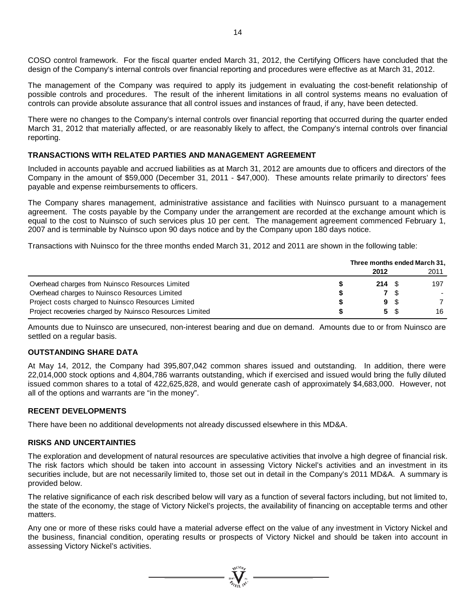COSO control framework. For the fiscal quarter ended March 31, 2012, the Certifying Officers have concluded that the design of the Company's internal controls over financial reporting and procedures were effective as at March 31, 2012.

The management of the Company was required to apply its judgement in evaluating the cost-benefit relationship of possible controls and procedures. The result of the inherent limitations in all control systems means no evaluation of controls can provide absolute assurance that all control issues and instances of fraud, if any, have been detected.

There were no changes to the Company's internal controls over financial reporting that occurred during the quarter ended March 31, 2012 that materially affected, or are reasonably likely to affect, the Company's internal controls over financial reporting.

# **TRANSACTIONS WITH RELATED PARTIES AND MANAGEMENT AGREEMENT**

Included in accounts payable and accrued liabilities as at March 31, 2012 are amounts due to officers and directors of the Company in the amount of \$59,000 (December 31, 2011 - \$47,000). These amounts relate primarily to directors' fees payable and expense reimbursements to officers.

The Company shares management, administrative assistance and facilities with Nuinsco pursuant to a management agreement. The costs payable by the Company under the arrangement are recorded at the exchange amount which is equal to the cost to Nuinsco of such services plus 10 per cent. The management agreement commenced February 1, 2007 and is terminable by Nuinsco upon 90 days notice and by the Company upon 180 days notice.

Transactions with Nuinsco for the three months ended March 31, 2012 and 2011 are shown in the following table:

|                                                         | Three months ended March 31, |  |      |  |
|---------------------------------------------------------|------------------------------|--|------|--|
|                                                         | 2012                         |  | 2011 |  |
| Overhead charges from Nuinsco Resources Limited         | $214 \tS$                    |  | 197  |  |
| Overhead charges to Nuinsco Resources Limited           |                              |  |      |  |
| Project costs charged to Nuinsco Resources Limited      | 9 S                          |  |      |  |
| Project recoveries charged by Nuinsco Resources Limited | 5 \$                         |  | 16   |  |

Amounts due to Nuinsco are unsecured, non-interest bearing and due on demand. Amounts due to or from Nuinsco are settled on a regular basis.

### **OUTSTANDING SHARE DATA**

At May 14, 2012, the Company had 395,807,042 common shares issued and outstanding. In addition, there were 22,014,000 stock options and 4,804,786 warrants outstanding, which if exercised and issued would bring the fully diluted issued common shares to a total of 422,625,828, and would generate cash of approximately \$4,683,000. However, not all of the options and warrants are "in the money".

### **RECENT DEVELOPMENTS**

There have been no additional developments not already discussed elsewhere in this MD&A.

### **RISKS AND UNCERTAINTIES**

The exploration and development of natural resources are speculative activities that involve a high degree of financial risk. The risk factors which should be taken into account in assessing Victory Nickel's activities and an investment in its securities include, but are not necessarily limited to, those set out in detail in the Company's 2011 MD&A. A summary is provided below.

The relative significance of each risk described below will vary as a function of several factors including, but not limited to, the state of the economy, the stage of Victory Nickel's projects, the availability of financing on acceptable terms and other matters.

Any one or more of these risks could have a material adverse effect on the value of any investment in Victory Nickel and the business, financial condition, operating results or prospects of Victory Nickel and should be taken into account in assessing Victory Nickel's activities.

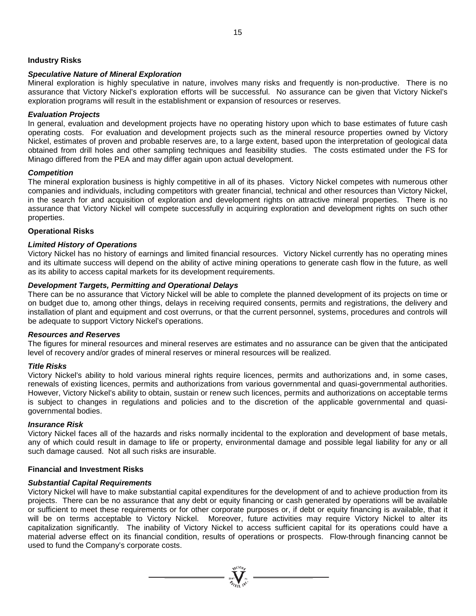### **Industry Risks**

#### *Speculative Nature of Mineral Exploration*

Mineral exploration is highly speculative in nature, involves many risks and frequently is non-productive. There is no assurance that Victory Nickel's exploration efforts will be successful. No assurance can be given that Victory Nickel's exploration programs will result in the establishment or expansion of resources or reserves.

#### *Evaluation Projects*

In general, evaluation and development projects have no operating history upon which to base estimates of future cash operating costs. For evaluation and development projects such as the mineral resource properties owned by Victory Nickel, estimates of proven and probable reserves are, to a large extent, based upon the interpretation of geological data obtained from drill holes and other sampling techniques and feasibility studies. The costs estimated under the FS for Minago differed from the PEA and may differ again upon actual development.

#### *Competition*

The mineral exploration business is highly competitive in all of its phases. Victory Nickel competes with numerous other companies and individuals, including competitors with greater financial, technical and other resources than Victory Nickel, in the search for and acquisition of exploration and development rights on attractive mineral properties. There is no assurance that Victory Nickel will compete successfully in acquiring exploration and development rights on such other properties.

#### **Operational Risks**

### *Limited History of Operations*

Victory Nickel has no history of earnings and limited financial resources. Victory Nickel currently has no operating mines and its ultimate success will depend on the ability of active mining operations to generate cash flow in the future, as well as its ability to access capital markets for its development requirements.

#### *Development Targets, Permitting and Operational Delays*

There can be no assurance that Victory Nickel will be able to complete the planned development of its projects on time or on budget due to, among other things, delays in receiving required consents, permits and registrations, the delivery and installation of plant and equipment and cost overruns, or that the current personnel, systems, procedures and controls will be adequate to support Victory Nickel's operations.

#### *Resources and Reserves*

The figures for mineral resources and mineral reserves are estimates and no assurance can be given that the anticipated level of recovery and/or grades of mineral reserves or mineral resources will be realized.

#### *Title Risks*

Victory Nickel's ability to hold various mineral rights require licences, permits and authorizations and, in some cases, renewals of existing licences, permits and authorizations from various governmental and quasi-governmental authorities. However, Victory Nickel's ability to obtain, sustain or renew such licences, permits and authorizations on acceptable terms is subject to changes in regulations and policies and to the discretion of the applicable governmental and quasigovernmental bodies.

#### *Insurance Risk*

Victory Nickel faces all of the hazards and risks normally incidental to the exploration and development of base metals, any of which could result in damage to life or property, environmental damage and possible legal liability for any or all such damage caused. Not all such risks are insurable.

#### **Financial and Investment Risks**

#### *Substantial Capital Requirements*

Victory Nickel will have to make substantial capital expenditures for the development of and to achieve production from its projects. There can be no assurance that any debt or equity financing or cash generated by operations will be available or sufficient to meet these requirements or for other corporate purposes or, if debt or equity financing is available, that it will be on terms acceptable to Victory Nickel. Moreover, future activities may require Victory Nickel to alter its capitalization significantly. The inability of Victory Nickel to access sufficient capital for its operations could have a material adverse effect on its financial condition, results of operations or prospects. Flow-through financing cannot be used to fund the Company's corporate costs.

 $\sum_{\mathbf{y} \in \mathcal{Y}} \sum_{\mathbf{y} \in \mathcal{Y}} \sum_{\mathbf{y} \in \mathcal{Y}} \mathbf{y} =$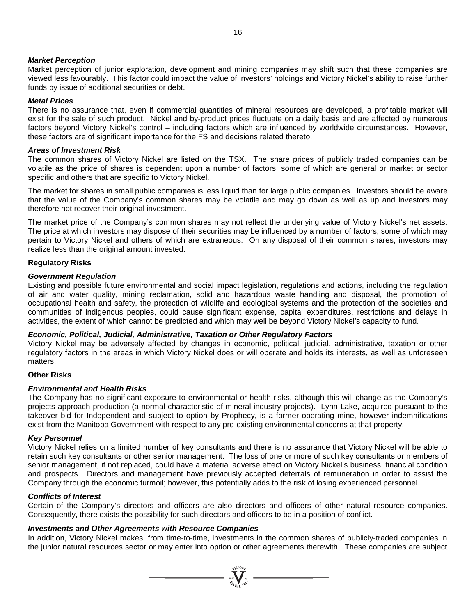### *Market Perception*

Market perception of junior exploration, development and mining companies may shift such that these companies are viewed less favourably. This factor could impact the value of investors' holdings and Victory Nickel's ability to raise further funds by issue of additional securities or debt.

### *Metal Prices*

There is no assurance that, even if commercial quantities of mineral resources are developed, a profitable market will exist for the sale of such product. Nickel and by-product prices fluctuate on a daily basis and are affected by numerous factors beyond Victory Nickel's control – including factors which are influenced by worldwide circumstances. However, these factors are of significant importance for the FS and decisions related thereto.

### *Areas of Investment Risk*

The common shares of Victory Nickel are listed on the TSX. The share prices of publicly traded companies can be volatile as the price of shares is dependent upon a number of factors, some of which are general or market or sector specific and others that are specific to Victory Nickel.

The market for shares in small public companies is less liquid than for large public companies. Investors should be aware that the value of the Company's common shares may be volatile and may go down as well as up and investors may therefore not recover their original investment.

The market price of the Company's common shares may not reflect the underlying value of Victory Nickel's net assets. The price at which investors may dispose of their securities may be influenced by a number of factors, some of which may pertain to Victory Nickel and others of which are extraneous. On any disposal of their common shares, investors may realize less than the original amount invested.

# **Regulatory Risks**

# *Government Regulation*

Existing and possible future environmental and social impact legislation, regulations and actions, including the regulation of air and water quality, mining reclamation, solid and hazardous waste handling and disposal, the promotion of occupational health and safety, the protection of wildlife and ecological systems and the protection of the societies and communities of indigenous peoples, could cause significant expense, capital expenditures, restrictions and delays in activities, the extent of which cannot be predicted and which may well be beyond Victory Nickel's capacity to fund.

### *Economic, Political, Judicial, Administrative, Taxation or Other Regulatory Factors*

Victory Nickel may be adversely affected by changes in economic, political, judicial, administrative, taxation or other regulatory factors in the areas in which Victory Nickel does or will operate and holds its interests, as well as unforeseen matters.

### **Other Risks**

### *Environmental and Health Risks*

The Company has no significant exposure to environmental or health risks, although this will change as the Company's projects approach production (a normal characteristic of mineral industry projects). Lynn Lake, acquired pursuant to the takeover bid for Independent and subject to option by Prophecy, is a former operating mine, however indemnifications exist from the Manitoba Government with respect to any pre-existing environmental concerns at that property.

### *Key Personnel*

Victory Nickel relies on a limited number of key consultants and there is no assurance that Victory Nickel will be able to retain such key consultants or other senior management. The loss of one or more of such key consultants or members of senior management, if not replaced, could have a material adverse effect on Victory Nickel's business, financial condition and prospects. Directors and management have previously accepted deferrals of remuneration in order to assist the Company through the economic turmoil; however, this potentially adds to the risk of losing experienced personnel.

### *Conflicts of Interest*

Certain of the Company's directors and officers are also directors and officers of other natural resource companies. Consequently, there exists the possibility for such directors and officers to be in a position of conflict.

### *Investments and Other Agreements with Resource Companies*

In addition, Victory Nickel makes, from time-to-time, investments in the common shares of publicly-traded companies in the junior natural resources sector or may enter into option or other agreements therewith. These companies are subject

 $\sum_{\substack{i=1\\i\neq j}}^{q_{\text{GLO},j}}$